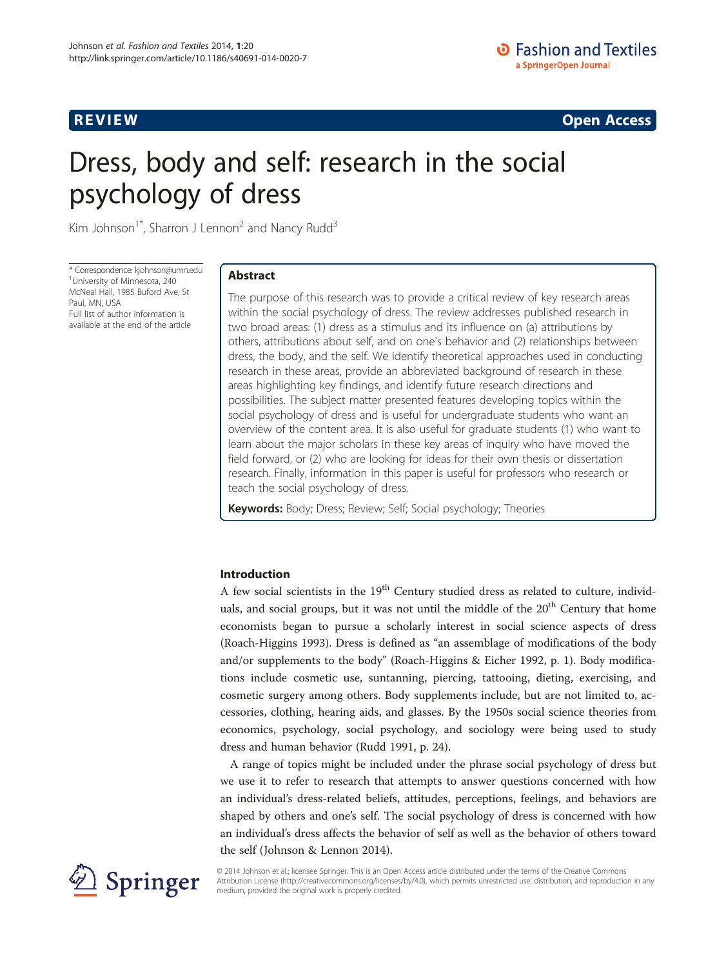**REVIEW CONSTRUCTION CONSTRUCTION CONSTRUCTS** 

# Dress, body and self: research in the social psychology of dress

Kim Johnson<sup>1\*</sup>, Sharron J Lennon<sup>2</sup> and Nancy Rudd<sup>3</sup>

\* Correspondence: [kjohnson@umn.edu](mailto:kjohnson@umn.edu) <sup>1</sup> University of Minnesota, 240 McNeal Hall, 1985 Buford Ave, St Paul, MN, USA Full list of author information is available at the end of the article

# Abstract

The purpose of this research was to provide a critical review of key research areas within the social psychology of dress. The review addresses published research in two broad areas: (1) dress as a stimulus and its influence on (a) attributions by others, attributions about self, and on one's behavior and (2) relationships between dress, the body, and the self. We identify theoretical approaches used in conducting research in these areas, provide an abbreviated background of research in these areas highlighting key findings, and identify future research directions and possibilities. The subject matter presented features developing topics within the social psychology of dress and is useful for undergraduate students who want an overview of the content area. It is also useful for graduate students (1) who want to learn about the major scholars in these key areas of inquiry who have moved the field forward, or (2) who are looking for ideas for their own thesis or dissertation research. Finally, information in this paper is useful for professors who research or teach the social psychology of dress.

Keywords: Body; Dress; Review; Self; Social psychology; Theories

# Introduction

A few social scientists in the  $19<sup>th</sup>$  Century studied dress as related to culture, individuals, and social groups, but it was not until the middle of the 20<sup>th</sup> Century that home economists began to pursue a scholarly interest in social science aspects of dress (Roach-Higgins [1993\)](#page-23-0). Dress is defined as "an assemblage of modifications of the body and/or supplements to the body" (Roach-Higgins & Eicher [1992](#page-23-0), p. 1). Body modifications include cosmetic use, suntanning, piercing, tattooing, dieting, exercising, and cosmetic surgery among others. Body supplements include, but are not limited to, accessories, clothing, hearing aids, and glasses. By the 1950s social science theories from economics, psychology, social psychology, and sociology were being used to study dress and human behavior (Rudd [1991](#page-23-0), p. 24).

A range of topics might be included under the phrase social psychology of dress but we use it to refer to research that attempts to answer questions concerned with how an individual's dress-related beliefs, attitudes, perceptions, feelings, and behaviors are shaped by others and one's self. The social psychology of dress is concerned with how an individual's dress affects the behavior of self as well as the behavior of others toward the self (Johnson & Lennon [2014\)](#page-22-0).



© 2014 Johnson et al.; licensee Springer. This is an Open Access article distributed under the terms of the Creative Commons Attribution License [\(http://creativecommons.org/licenses/by/4.0\)](http://creativecommons.org/licenses/by/4.0), which permits unrestricted use, distribution, and reproduction in any medium, provided the original work is properly credited.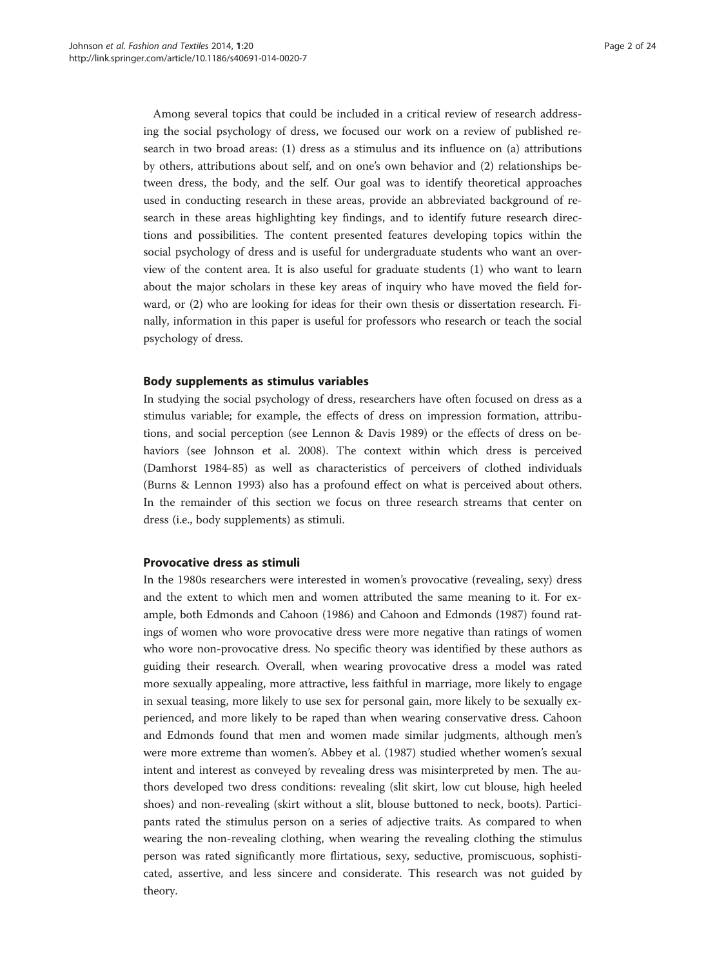Among several topics that could be included in a critical review of research addressing the social psychology of dress, we focused our work on a review of published research in two broad areas: (1) dress as a stimulus and its influence on (a) attributions by others, attributions about self, and on one's own behavior and (2) relationships between dress, the body, and the self. Our goal was to identify theoretical approaches used in conducting research in these areas, provide an abbreviated background of research in these areas highlighting key findings, and to identify future research directions and possibilities. The content presented features developing topics within the social psychology of dress and is useful for undergraduate students who want an overview of the content area. It is also useful for graduate students (1) who want to learn about the major scholars in these key areas of inquiry who have moved the field forward, or (2) who are looking for ideas for their own thesis or dissertation research. Finally, information in this paper is useful for professors who research or teach the social psychology of dress.

#### Body supplements as stimulus variables

In studying the social psychology of dress, researchers have often focused on dress as a stimulus variable; for example, the effects of dress on impression formation, attributions, and social perception (see Lennon & Davis [1989\)](#page-22-0) or the effects of dress on behaviors (see Johnson et al. [2008](#page-22-0)). The context within which dress is perceived (Damhorst [1984-85](#page-21-0)) as well as characteristics of perceivers of clothed individuals (Burns & Lennon [1993\)](#page-21-0) also has a profound effect on what is perceived about others. In the remainder of this section we focus on three research streams that center on dress (i.e., body supplements) as stimuli.

#### Provocative dress as stimuli

In the 1980s researchers were interested in women's provocative (revealing, sexy) dress and the extent to which men and women attributed the same meaning to it. For example, both Edmonds and Cahoon ([1986](#page-21-0)) and Cahoon and Edmonds ([1987\)](#page-21-0) found ratings of women who wore provocative dress were more negative than ratings of women who wore non-provocative dress. No specific theory was identified by these authors as guiding their research. Overall, when wearing provocative dress a model was rated more sexually appealing, more attractive, less faithful in marriage, more likely to engage in sexual teasing, more likely to use sex for personal gain, more likely to be sexually experienced, and more likely to be raped than when wearing conservative dress. Cahoon and Edmonds found that men and women made similar judgments, although men's were more extreme than women's. Abbey et al. ([1987](#page-20-0)) studied whether women's sexual intent and interest as conveyed by revealing dress was misinterpreted by men. The authors developed two dress conditions: revealing (slit skirt, low cut blouse, high heeled shoes) and non-revealing (skirt without a slit, blouse buttoned to neck, boots). Participants rated the stimulus person on a series of adjective traits. As compared to when wearing the non-revealing clothing, when wearing the revealing clothing the stimulus person was rated significantly more flirtatious, sexy, seductive, promiscuous, sophisticated, assertive, and less sincere and considerate. This research was not guided by theory.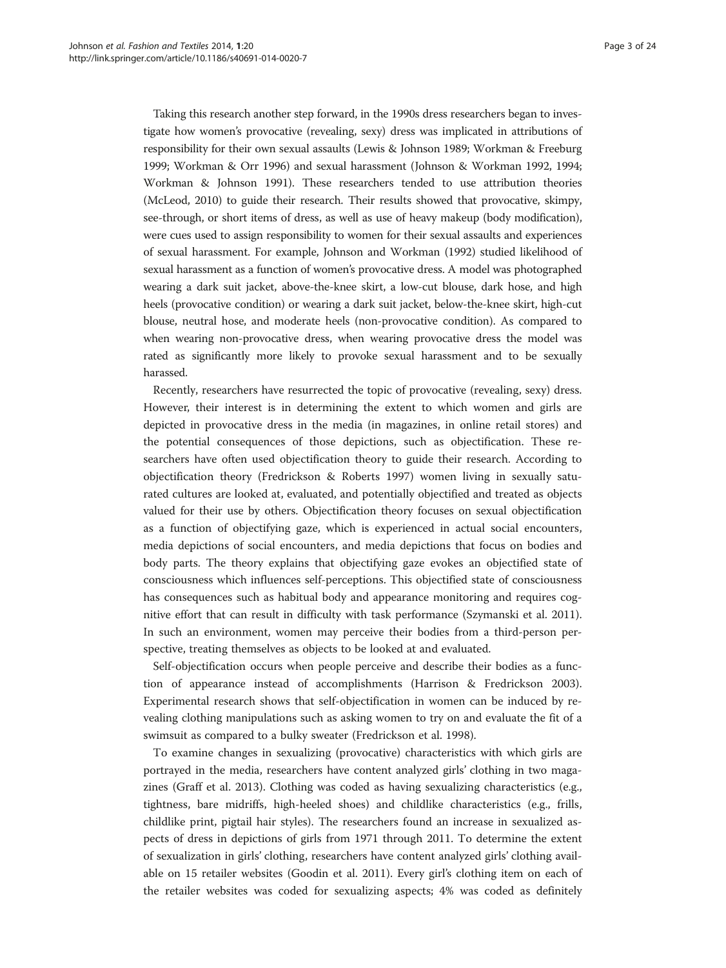Taking this research another step forward, in the 1990s dress researchers began to investigate how women's provocative (revealing, sexy) dress was implicated in attributions of responsibility for their own sexual assaults (Lewis & Johnson [1989](#page-22-0); Workman & Freeburg [1999;](#page-23-0) Workman & Orr [1996\)](#page-23-0) and sexual harassment (Johnson & Workman [1992, 1994](#page-22-0); Workman & Johnson [1991\)](#page-23-0). These researchers tended to use attribution theories (McLeod, [2010](#page-22-0)) to guide their research. Their results showed that provocative, skimpy, see-through, or short items of dress, as well as use of heavy makeup (body modification), were cues used to assign responsibility to women for their sexual assaults and experiences of sexual harassment. For example, Johnson and Workman [\(1992](#page-22-0)) studied likelihood of sexual harassment as a function of women's provocative dress. A model was photographed wearing a dark suit jacket, above-the-knee skirt, a low-cut blouse, dark hose, and high heels (provocative condition) or wearing a dark suit jacket, below-the-knee skirt, high-cut blouse, neutral hose, and moderate heels (non-provocative condition). As compared to when wearing non-provocative dress, when wearing provocative dress the model was rated as significantly more likely to provoke sexual harassment and to be sexually harassed.

Recently, researchers have resurrected the topic of provocative (revealing, sexy) dress. However, their interest is in determining the extent to which women and girls are depicted in provocative dress in the media (in magazines, in online retail stores) and the potential consequences of those depictions, such as objectification. These researchers have often used objectification theory to guide their research. According to objectification theory (Fredrickson & Roberts [1997](#page-21-0)) women living in sexually saturated cultures are looked at, evaluated, and potentially objectified and treated as objects valued for their use by others. Objectification theory focuses on sexual objectification as a function of objectifying gaze, which is experienced in actual social encounters, media depictions of social encounters, and media depictions that focus on bodies and body parts. The theory explains that objectifying gaze evokes an objectified state of consciousness which influences self-perceptions. This objectified state of consciousness has consequences such as habitual body and appearance monitoring and requires cognitive effort that can result in difficulty with task performance (Szymanski et al. [2011](#page-23-0)). In such an environment, women may perceive their bodies from a third-person perspective, treating themselves as objects to be looked at and evaluated.

Self-objectification occurs when people perceive and describe their bodies as a function of appearance instead of accomplishments (Harrison & Fredrickson [2003](#page-21-0)). Experimental research shows that self-objectification in women can be induced by revealing clothing manipulations such as asking women to try on and evaluate the fit of a swimsuit as compared to a bulky sweater (Fredrickson et al. [1998\)](#page-21-0).

To examine changes in sexualizing (provocative) characteristics with which girls are portrayed in the media, researchers have content analyzed girls' clothing in two magazines (Graff et al. [2013\)](#page-21-0). Clothing was coded as having sexualizing characteristics (e.g., tightness, bare midriffs, high-heeled shoes) and childlike characteristics (e.g., frills, childlike print, pigtail hair styles). The researchers found an increase in sexualized aspects of dress in depictions of girls from 1971 through 2011. To determine the extent of sexualization in girls' clothing, researchers have content analyzed girls' clothing available on 15 retailer websites (Goodin et al. [2011](#page-21-0)). Every girl's clothing item on each of the retailer websites was coded for sexualizing aspects; 4% was coded as definitely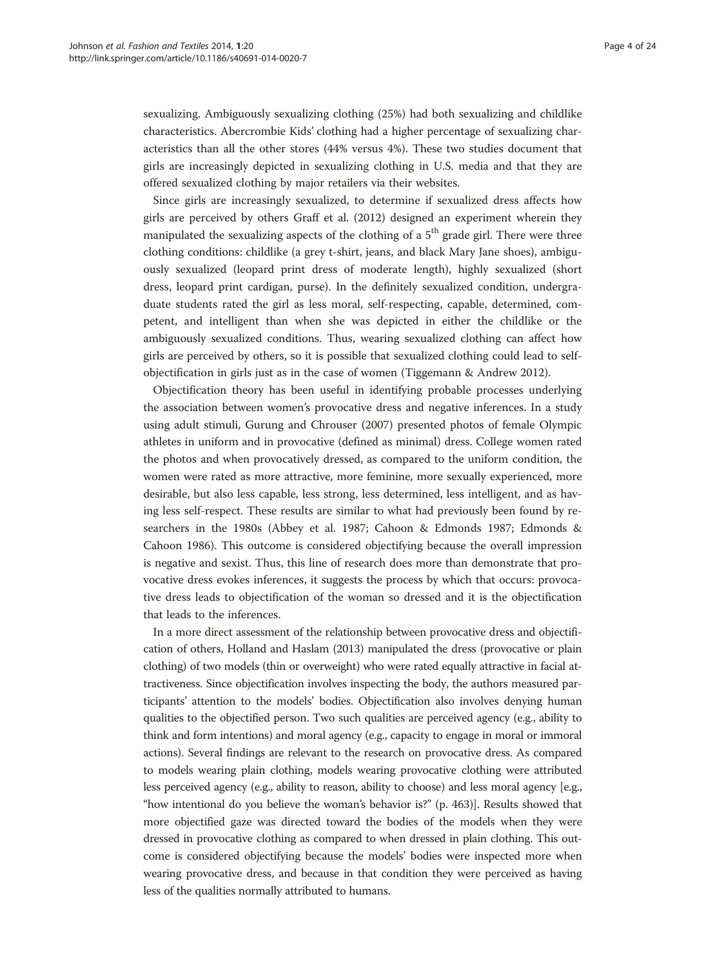sexualizing. Ambiguously sexualizing clothing (25%) had both sexualizing and childlike characteristics. Abercrombie Kids' clothing had a higher percentage of sexualizing characteristics than all the other stores (44% versus 4%). These two studies document that girls are increasingly depicted in sexualizing clothing in U.S. media and that they are offered sexualized clothing by major retailers via their websites.

Since girls are increasingly sexualized, to determine if sexualized dress affects how girls are perceived by others Graff et al. [\(2012](#page-21-0)) designed an experiment wherein they manipulated the sexualizing aspects of the clothing of a  $5<sup>th</sup>$  grade girl. There were three clothing conditions: childlike (a grey t-shirt, jeans, and black Mary Jane shoes), ambiguously sexualized (leopard print dress of moderate length), highly sexualized (short dress, leopard print cardigan, purse). In the definitely sexualized condition, undergraduate students rated the girl as less moral, self-respecting, capable, determined, competent, and intelligent than when she was depicted in either the childlike or the ambiguously sexualized conditions. Thus, wearing sexualized clothing can affect how girls are perceived by others, so it is possible that sexualized clothing could lead to selfobjectification in girls just as in the case of women (Tiggemann & Andrew [2012\)](#page-23-0).

Objectification theory has been useful in identifying probable processes underlying the association between women's provocative dress and negative inferences. In a study using adult stimuli, Gurung and Chrouser ([2007](#page-21-0)) presented photos of female Olympic athletes in uniform and in provocative (defined as minimal) dress. College women rated the photos and when provocatively dressed, as compared to the uniform condition, the women were rated as more attractive, more feminine, more sexually experienced, more desirable, but also less capable, less strong, less determined, less intelligent, and as having less self-respect. These results are similar to what had previously been found by researchers in the 1980s (Abbey et al. [1987](#page-20-0); Cahoon & Edmonds [1987;](#page-21-0) Edmonds & Cahoon [1986\)](#page-21-0). This outcome is considered objectifying because the overall impression is negative and sexist. Thus, this line of research does more than demonstrate that provocative dress evokes inferences, it suggests the process by which that occurs: provocative dress leads to objectification of the woman so dressed and it is the objectification that leads to the inferences.

In a more direct assessment of the relationship between provocative dress and objectification of others, Holland and Haslam [\(2013\)](#page-21-0) manipulated the dress (provocative or plain clothing) of two models (thin or overweight) who were rated equally attractive in facial attractiveness. Since objectification involves inspecting the body, the authors measured participants' attention to the models' bodies. Objectification also involves denying human qualities to the objectified person. Two such qualities are perceived agency (e.g., ability to think and form intentions) and moral agency (e.g., capacity to engage in moral or immoral actions). Several findings are relevant to the research on provocative dress. As compared to models wearing plain clothing, models wearing provocative clothing were attributed less perceived agency (e.g., ability to reason, ability to choose) and less moral agency [e.g., "how intentional do you believe the woman's behavior is?" (p. 463)]. Results showed that more objectified gaze was directed toward the bodies of the models when they were dressed in provocative clothing as compared to when dressed in plain clothing. This outcome is considered objectifying because the models' bodies were inspected more when wearing provocative dress, and because in that condition they were perceived as having less of the qualities normally attributed to humans.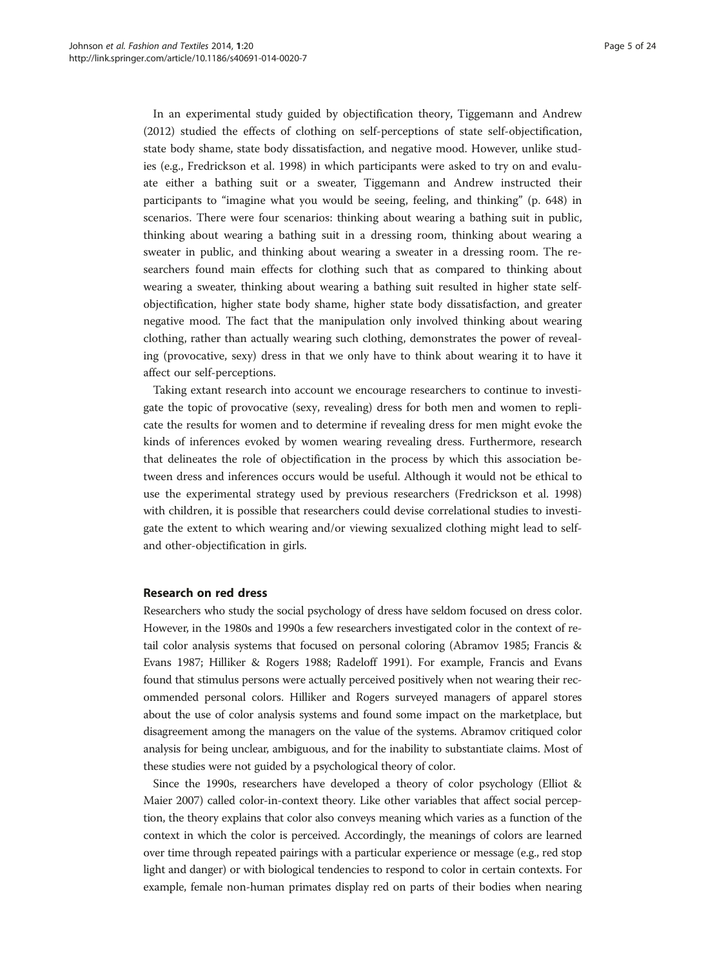In an experimental study guided by objectification theory, Tiggemann and Andrew ([2012](#page-23-0)) studied the effects of clothing on self-perceptions of state self-objectification, state body shame, state body dissatisfaction, and negative mood. However, unlike studies (e.g., Fredrickson et al. [1998](#page-21-0)) in which participants were asked to try on and evaluate either a bathing suit or a sweater, Tiggemann and Andrew instructed their participants to "imagine what you would be seeing, feeling, and thinking" (p. 648) in scenarios. There were four scenarios: thinking about wearing a bathing suit in public, thinking about wearing a bathing suit in a dressing room, thinking about wearing a sweater in public, and thinking about wearing a sweater in a dressing room. The researchers found main effects for clothing such that as compared to thinking about wearing a sweater, thinking about wearing a bathing suit resulted in higher state selfobjectification, higher state body shame, higher state body dissatisfaction, and greater negative mood. The fact that the manipulation only involved thinking about wearing clothing, rather than actually wearing such clothing, demonstrates the power of revealing (provocative, sexy) dress in that we only have to think about wearing it to have it affect our self-perceptions.

Taking extant research into account we encourage researchers to continue to investigate the topic of provocative (sexy, revealing) dress for both men and women to replicate the results for women and to determine if revealing dress for men might evoke the kinds of inferences evoked by women wearing revealing dress. Furthermore, research that delineates the role of objectification in the process by which this association between dress and inferences occurs would be useful. Although it would not be ethical to use the experimental strategy used by previous researchers (Fredrickson et al. [1998](#page-21-0)) with children, it is possible that researchers could devise correlational studies to investigate the extent to which wearing and/or viewing sexualized clothing might lead to selfand other-objectification in girls.

### Research on red dress

Researchers who study the social psychology of dress have seldom focused on dress color. However, in the 1980s and 1990s a few researchers investigated color in the context of retail color analysis systems that focused on personal coloring (Abramov [1985](#page-20-0); Francis & Evans [1987;](#page-21-0) Hilliker & Rogers [1988](#page-21-0); Radeloff [1991](#page-23-0)). For example, Francis and Evans found that stimulus persons were actually perceived positively when not wearing their recommended personal colors. Hilliker and Rogers surveyed managers of apparel stores about the use of color analysis systems and found some impact on the marketplace, but disagreement among the managers on the value of the systems. Abramov critiqued color analysis for being unclear, ambiguous, and for the inability to substantiate claims. Most of these studies were not guided by a psychological theory of color.

Since the 1990s, researchers have developed a theory of color psychology (Elliot & Maier [2007\)](#page-21-0) called color-in-context theory. Like other variables that affect social perception, the theory explains that color also conveys meaning which varies as a function of the context in which the color is perceived. Accordingly, the meanings of colors are learned over time through repeated pairings with a particular experience or message (e.g., red stop light and danger) or with biological tendencies to respond to color in certain contexts. For example, female non-human primates display red on parts of their bodies when nearing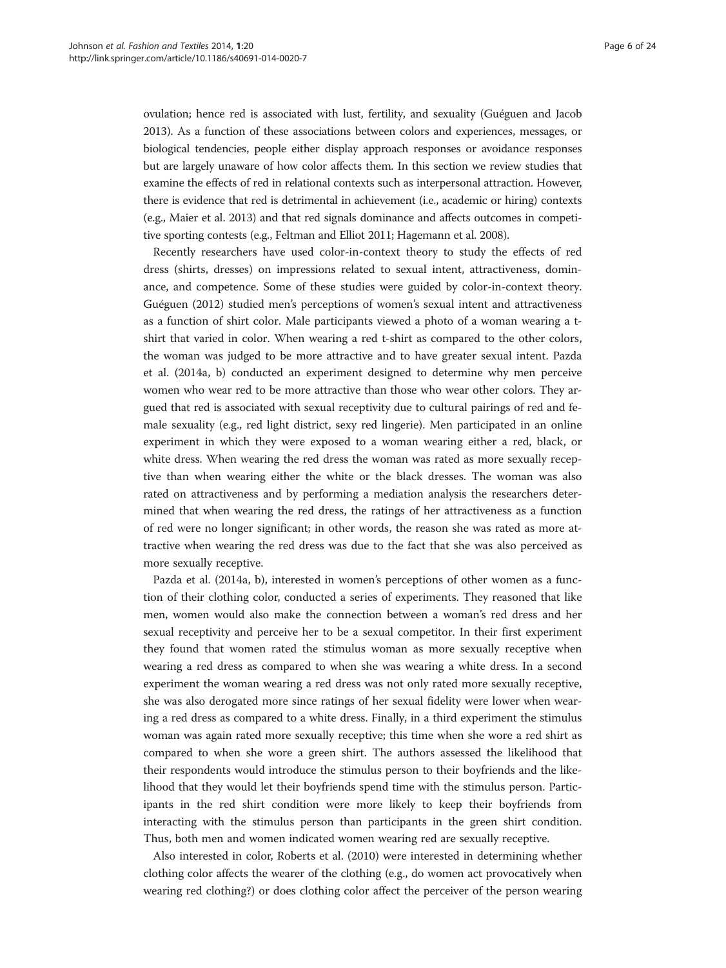ovulation; hence red is associated with lust, fertility, and sexuality (Guéguen and Jacob [2013\)](#page-21-0). As a function of these associations between colors and experiences, messages, or biological tendencies, people either display approach responses or avoidance responses but are largely unaware of how color affects them. In this section we review studies that examine the effects of red in relational contexts such as interpersonal attraction. However, there is evidence that red is detrimental in achievement (i.e., academic or hiring) contexts (e.g., Maier et al. [2013](#page-22-0)) and that red signals dominance and affects outcomes in competitive sporting contests (e.g., Feltman and Elliot [2011](#page-21-0); Hagemann et al. [2008](#page-21-0)).

Recently researchers have used color-in-context theory to study the effects of red dress (shirts, dresses) on impressions related to sexual intent, attractiveness, dominance, and competence. Some of these studies were guided by color-in-context theory. Guéguen [\(2012\)](#page-21-0) studied men's perceptions of women's sexual intent and attractiveness as a function of shirt color. Male participants viewed a photo of a woman wearing a tshirt that varied in color. When wearing a red t-shirt as compared to the other colors, the woman was judged to be more attractive and to have greater sexual intent. Pazda et al. [\(2014a](#page-22-0), [b](#page-22-0)) conducted an experiment designed to determine why men perceive women who wear red to be more attractive than those who wear other colors. They argued that red is associated with sexual receptivity due to cultural pairings of red and female sexuality (e.g., red light district, sexy red lingerie). Men participated in an online experiment in which they were exposed to a woman wearing either a red, black, or white dress. When wearing the red dress the woman was rated as more sexually receptive than when wearing either the white or the black dresses. The woman was also rated on attractiveness and by performing a mediation analysis the researchers determined that when wearing the red dress, the ratings of her attractiveness as a function of red were no longer significant; in other words, the reason she was rated as more attractive when wearing the red dress was due to the fact that she was also perceived as more sexually receptive.

Pazda et al. [\(2014a](#page-22-0), [b](#page-22-0)), interested in women's perceptions of other women as a function of their clothing color, conducted a series of experiments. They reasoned that like men, women would also make the connection between a woman's red dress and her sexual receptivity and perceive her to be a sexual competitor. In their first experiment they found that women rated the stimulus woman as more sexually receptive when wearing a red dress as compared to when she was wearing a white dress. In a second experiment the woman wearing a red dress was not only rated more sexually receptive, she was also derogated more since ratings of her sexual fidelity were lower when wearing a red dress as compared to a white dress. Finally, in a third experiment the stimulus woman was again rated more sexually receptive; this time when she wore a red shirt as compared to when she wore a green shirt. The authors assessed the likelihood that their respondents would introduce the stimulus person to their boyfriends and the likelihood that they would let their boyfriends spend time with the stimulus person. Participants in the red shirt condition were more likely to keep their boyfriends from interacting with the stimulus person than participants in the green shirt condition. Thus, both men and women indicated women wearing red are sexually receptive.

Also interested in color, Roberts et al. [\(2010\)](#page-23-0) were interested in determining whether clothing color affects the wearer of the clothing (e.g., do women act provocatively when wearing red clothing?) or does clothing color affect the perceiver of the person wearing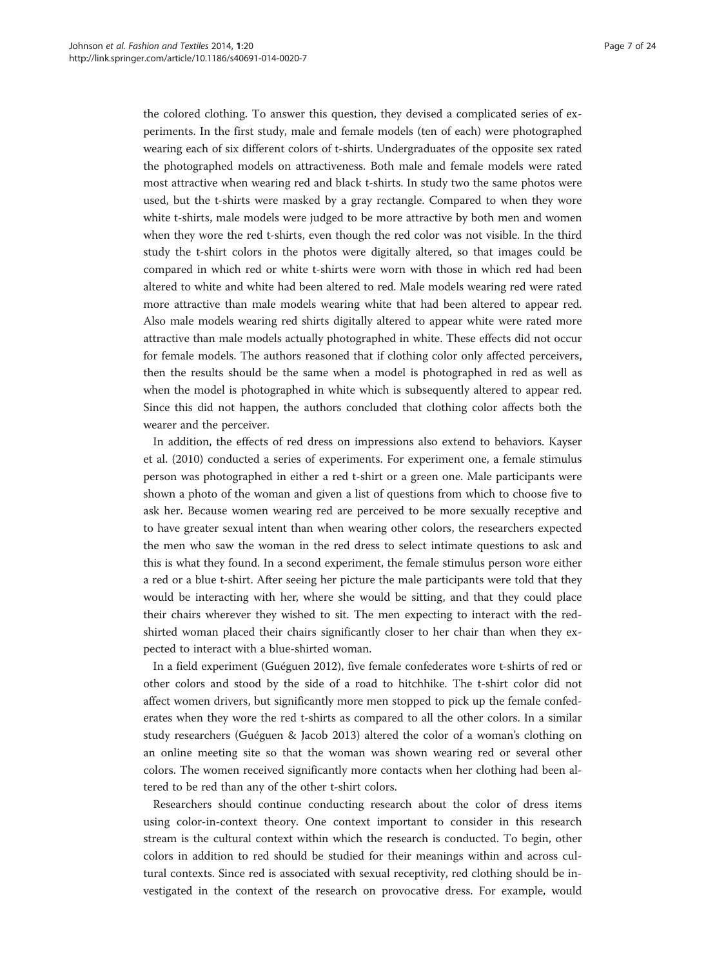the colored clothing. To answer this question, they devised a complicated series of experiments. In the first study, male and female models (ten of each) were photographed wearing each of six different colors of t-shirts. Undergraduates of the opposite sex rated the photographed models on attractiveness. Both male and female models were rated most attractive when wearing red and black t-shirts. In study two the same photos were used, but the t-shirts were masked by a gray rectangle. Compared to when they wore white t-shirts, male models were judged to be more attractive by both men and women when they wore the red t-shirts, even though the red color was not visible. In the third study the t-shirt colors in the photos were digitally altered, so that images could be compared in which red or white t-shirts were worn with those in which red had been altered to white and white had been altered to red. Male models wearing red were rated more attractive than male models wearing white that had been altered to appear red. Also male models wearing red shirts digitally altered to appear white were rated more attractive than male models actually photographed in white. These effects did not occur for female models. The authors reasoned that if clothing color only affected perceivers, then the results should be the same when a model is photographed in red as well as when the model is photographed in white which is subsequently altered to appear red. Since this did not happen, the authors concluded that clothing color affects both the wearer and the perceiver.

In addition, the effects of red dress on impressions also extend to behaviors. Kayser et al. [\(2010\)](#page-22-0) conducted a series of experiments. For experiment one, a female stimulus person was photographed in either a red t-shirt or a green one. Male participants were shown a photo of the woman and given a list of questions from which to choose five to ask her. Because women wearing red are perceived to be more sexually receptive and to have greater sexual intent than when wearing other colors, the researchers expected the men who saw the woman in the red dress to select intimate questions to ask and this is what they found. In a second experiment, the female stimulus person wore either a red or a blue t-shirt. After seeing her picture the male participants were told that they would be interacting with her, where she would be sitting, and that they could place their chairs wherever they wished to sit. The men expecting to interact with the redshirted woman placed their chairs significantly closer to her chair than when they expected to interact with a blue-shirted woman.

In a field experiment (Guéguen [2012\)](#page-21-0), five female confederates wore t-shirts of red or other colors and stood by the side of a road to hitchhike. The t-shirt color did not affect women drivers, but significantly more men stopped to pick up the female confederates when they wore the red t-shirts as compared to all the other colors. In a similar study researchers (Guéguen & Jacob [2013](#page-21-0)) altered the color of a woman's clothing on an online meeting site so that the woman was shown wearing red or several other colors. The women received significantly more contacts when her clothing had been altered to be red than any of the other t-shirt colors.

Researchers should continue conducting research about the color of dress items using color-in-context theory. One context important to consider in this research stream is the cultural context within which the research is conducted. To begin, other colors in addition to red should be studied for their meanings within and across cultural contexts. Since red is associated with sexual receptivity, red clothing should be investigated in the context of the research on provocative dress. For example, would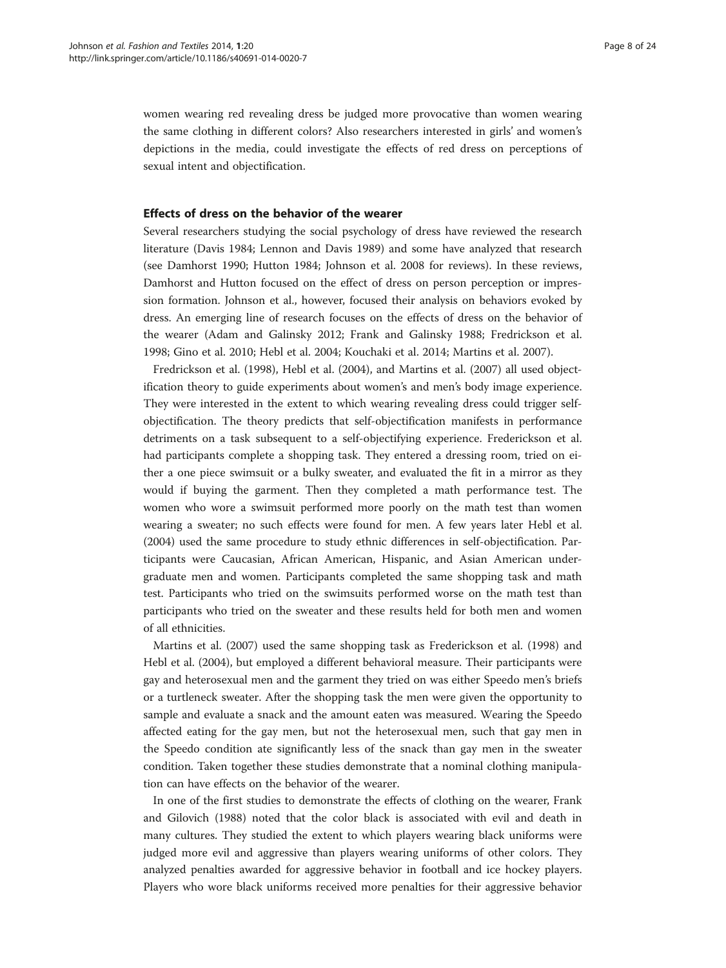women wearing red revealing dress be judged more provocative than women wearing the same clothing in different colors? Also researchers interested in girls' and women's depictions in the media, could investigate the effects of red dress on perceptions of sexual intent and objectification.

# Effects of dress on the behavior of the wearer

Several researchers studying the social psychology of dress have reviewed the research literature (Davis [1984](#page-21-0); Lennon and Davis [1989](#page-22-0)) and some have analyzed that research (see Damhorst [1990;](#page-21-0) Hutton [1984](#page-21-0); Johnson et al. [2008](#page-22-0) for reviews). In these reviews, Damhorst and Hutton focused on the effect of dress on person perception or impression formation. Johnson et al., however, focused their analysis on behaviors evoked by dress. An emerging line of research focuses on the effects of dress on the behavior of the wearer (Adam and Galinsky [2012](#page-20-0); Frank and Galinsky [1988;](#page-21-0) Fredrickson et al. [1998](#page-21-0); Gino et al. [2010;](#page-21-0) Hebl et al. [2004;](#page-21-0) Kouchaki et al. [2014](#page-22-0); Martins et al. [2007\)](#page-22-0).

Fredrickson et al. ([1998](#page-21-0)), Hebl et al. ([2004](#page-21-0)), and Martins et al. ([2007](#page-22-0)) all used objectification theory to guide experiments about women's and men's body image experience. They were interested in the extent to which wearing revealing dress could trigger selfobjectification. The theory predicts that self-objectification manifests in performance detriments on a task subsequent to a self-objectifying experience. Frederickson et al. had participants complete a shopping task. They entered a dressing room, tried on either a one piece swimsuit or a bulky sweater, and evaluated the fit in a mirror as they would if buying the garment. Then they completed a math performance test. The women who wore a swimsuit performed more poorly on the math test than women wearing a sweater; no such effects were found for men. A few years later Hebl et al. ([2004](#page-21-0)) used the same procedure to study ethnic differences in self-objectification. Participants were Caucasian, African American, Hispanic, and Asian American undergraduate men and women. Participants completed the same shopping task and math test. Participants who tried on the swimsuits performed worse on the math test than participants who tried on the sweater and these results held for both men and women of all ethnicities.

Martins et al. ([2007](#page-22-0)) used the same shopping task as Frederickson et al. [\(1998\)](#page-21-0) and Hebl et al. ([2004\)](#page-21-0), but employed a different behavioral measure. Their participants were gay and heterosexual men and the garment they tried on was either Speedo men's briefs or a turtleneck sweater. After the shopping task the men were given the opportunity to sample and evaluate a snack and the amount eaten was measured. Wearing the Speedo affected eating for the gay men, but not the heterosexual men, such that gay men in the Speedo condition ate significantly less of the snack than gay men in the sweater condition. Taken together these studies demonstrate that a nominal clothing manipulation can have effects on the behavior of the wearer.

In one of the first studies to demonstrate the effects of clothing on the wearer, Frank and Gilovich [\(1988\)](#page-21-0) noted that the color black is associated with evil and death in many cultures. They studied the extent to which players wearing black uniforms were judged more evil and aggressive than players wearing uniforms of other colors. They analyzed penalties awarded for aggressive behavior in football and ice hockey players. Players who wore black uniforms received more penalties for their aggressive behavior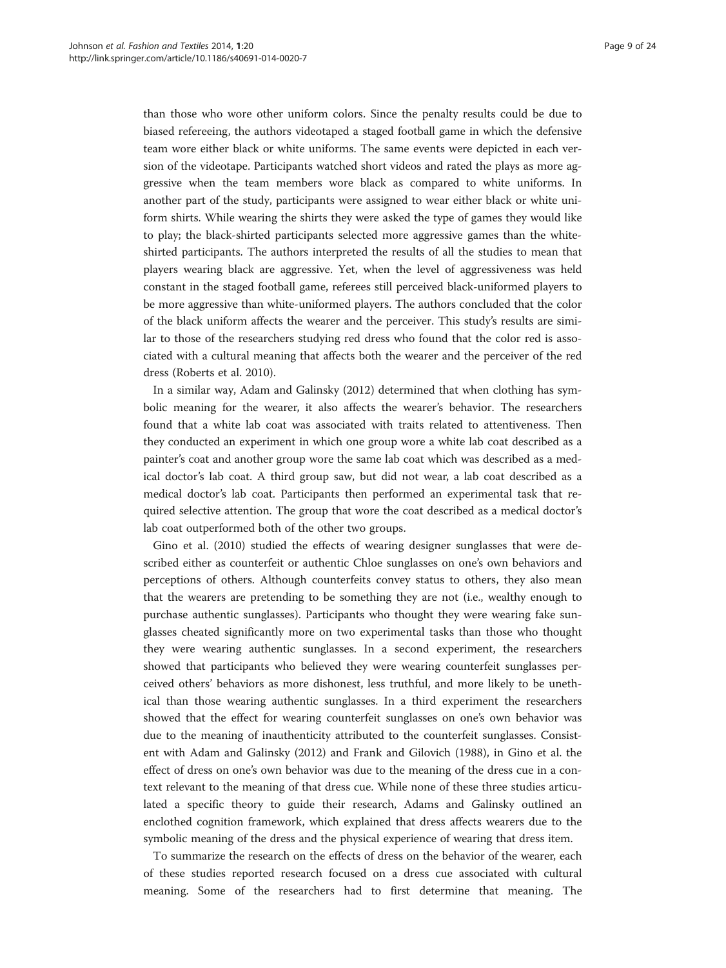than those who wore other uniform colors. Since the penalty results could be due to biased refereeing, the authors videotaped a staged football game in which the defensive team wore either black or white uniforms. The same events were depicted in each version of the videotape. Participants watched short videos and rated the plays as more aggressive when the team members wore black as compared to white uniforms. In another part of the study, participants were assigned to wear either black or white uniform shirts. While wearing the shirts they were asked the type of games they would like to play; the black-shirted participants selected more aggressive games than the whiteshirted participants. The authors interpreted the results of all the studies to mean that players wearing black are aggressive. Yet, when the level of aggressiveness was held constant in the staged football game, referees still perceived black-uniformed players to be more aggressive than white-uniformed players. The authors concluded that the color of the black uniform affects the wearer and the perceiver. This study's results are similar to those of the researchers studying red dress who found that the color red is associated with a cultural meaning that affects both the wearer and the perceiver of the red dress (Roberts et al. [2010](#page-23-0)).

In a similar way, Adam and Galinsky ([2012](#page-20-0)) determined that when clothing has symbolic meaning for the wearer, it also affects the wearer's behavior. The researchers found that a white lab coat was associated with traits related to attentiveness. Then they conducted an experiment in which one group wore a white lab coat described as a painter's coat and another group wore the same lab coat which was described as a medical doctor's lab coat. A third group saw, but did not wear, a lab coat described as a medical doctor's lab coat. Participants then performed an experimental task that required selective attention. The group that wore the coat described as a medical doctor's lab coat outperformed both of the other two groups.

Gino et al. ([2010](#page-21-0)) studied the effects of wearing designer sunglasses that were described either as counterfeit or authentic Chloe sunglasses on one's own behaviors and perceptions of others. Although counterfeits convey status to others, they also mean that the wearers are pretending to be something they are not (i.e., wealthy enough to purchase authentic sunglasses). Participants who thought they were wearing fake sunglasses cheated significantly more on two experimental tasks than those who thought they were wearing authentic sunglasses. In a second experiment, the researchers showed that participants who believed they were wearing counterfeit sunglasses perceived others' behaviors as more dishonest, less truthful, and more likely to be unethical than those wearing authentic sunglasses. In a third experiment the researchers showed that the effect for wearing counterfeit sunglasses on one's own behavior was due to the meaning of inauthenticity attributed to the counterfeit sunglasses. Consistent with Adam and Galinsky ([2012](#page-20-0)) and Frank and Gilovich (1988), in Gino et al. the effect of dress on one's own behavior was due to the meaning of the dress cue in a context relevant to the meaning of that dress cue. While none of these three studies articulated a specific theory to guide their research, Adams and Galinsky outlined an enclothed cognition framework, which explained that dress affects wearers due to the symbolic meaning of the dress and the physical experience of wearing that dress item.

To summarize the research on the effects of dress on the behavior of the wearer, each of these studies reported research focused on a dress cue associated with cultural meaning. Some of the researchers had to first determine that meaning. The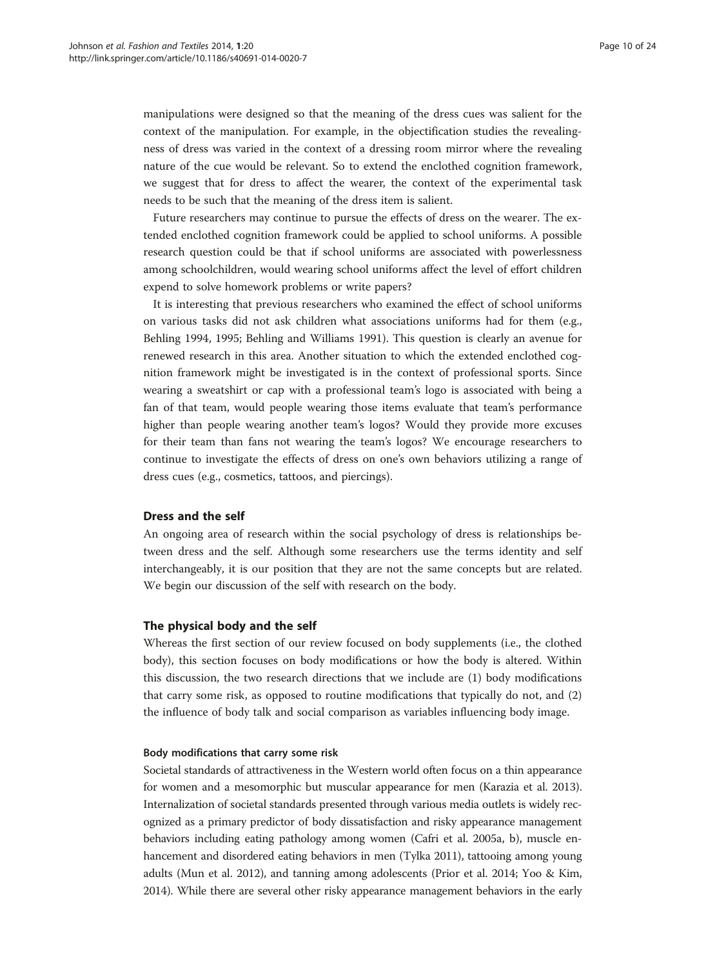manipulations were designed so that the meaning of the dress cues was salient for the context of the manipulation. For example, in the objectification studies the revealingness of dress was varied in the context of a dressing room mirror where the revealing nature of the cue would be relevant. So to extend the enclothed cognition framework, we suggest that for dress to affect the wearer, the context of the experimental task needs to be such that the meaning of the dress item is salient.

Future researchers may continue to pursue the effects of dress on the wearer. The extended enclothed cognition framework could be applied to school uniforms. A possible research question could be that if school uniforms are associated with powerlessness among schoolchildren, would wearing school uniforms affect the level of effort children expend to solve homework problems or write papers?

It is interesting that previous researchers who examined the effect of school uniforms on various tasks did not ask children what associations uniforms had for them (e.g., Behling [1994](#page-20-0), [1995](#page-20-0); Behling and Williams [1991\)](#page-20-0). This question is clearly an avenue for renewed research in this area. Another situation to which the extended enclothed cognition framework might be investigated is in the context of professional sports. Since wearing a sweatshirt or cap with a professional team's logo is associated with being a fan of that team, would people wearing those items evaluate that team's performance higher than people wearing another team's logos? Would they provide more excuses for their team than fans not wearing the team's logos? We encourage researchers to continue to investigate the effects of dress on one's own behaviors utilizing a range of dress cues (e.g., cosmetics, tattoos, and piercings).

#### Dress and the self

An ongoing area of research within the social psychology of dress is relationships between dress and the self. Although some researchers use the terms identity and self interchangeably, it is our position that they are not the same concepts but are related. We begin our discussion of the self with research on the body.

#### The physical body and the self

Whereas the first section of our review focused on body supplements (i.e., the clothed body), this section focuses on body modifications or how the body is altered. Within this discussion, the two research directions that we include are (1) body modifications that carry some risk, as opposed to routine modifications that typically do not, and (2) the influence of body talk and social comparison as variables influencing body image.

# Body modifications that carry some risk

Societal standards of attractiveness in the Western world often focus on a thin appearance for women and a mesomorphic but muscular appearance for men (Karazia et al. [2013](#page-22-0)). Internalization of societal standards presented through various media outlets is widely recognized as a primary predictor of body dissatisfaction and risky appearance management behaviors including eating pathology among women (Cafri et al. [2005a, b](#page-21-0)), muscle enhancement and disordered eating behaviors in men (Tylka [2011\)](#page-23-0), tattooing among young adults (Mun et al. [2012](#page-22-0)), and tanning among adolescents (Prior et al. [2014](#page-23-0); Yoo & Kim, [2014\)](#page-23-0). While there are several other risky appearance management behaviors in the early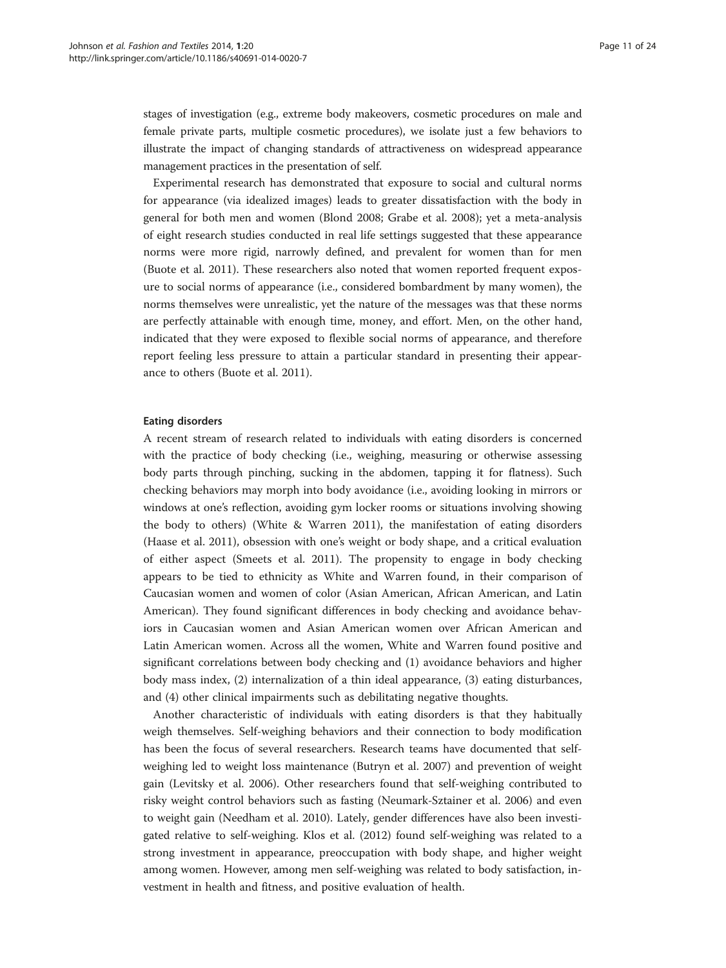stages of investigation (e.g., extreme body makeovers, cosmetic procedures on male and female private parts, multiple cosmetic procedures), we isolate just a few behaviors to illustrate the impact of changing standards of attractiveness on widespread appearance management practices in the presentation of self.

Experimental research has demonstrated that exposure to social and cultural norms for appearance (via idealized images) leads to greater dissatisfaction with the body in general for both men and women (Blond [2008;](#page-20-0) Grabe et al. [2008](#page-21-0)); yet a meta-analysis of eight research studies conducted in real life settings suggested that these appearance norms were more rigid, narrowly defined, and prevalent for women than for men (Buote et al. [2011\)](#page-20-0). These researchers also noted that women reported frequent exposure to social norms of appearance (i.e., considered bombardment by many women), the norms themselves were unrealistic, yet the nature of the messages was that these norms are perfectly attainable with enough time, money, and effort. Men, on the other hand, indicated that they were exposed to flexible social norms of appearance, and therefore report feeling less pressure to attain a particular standard in presenting their appearance to others (Buote et al. [2011\)](#page-20-0).

#### Eating disorders

A recent stream of research related to individuals with eating disorders is concerned with the practice of body checking (i.e., weighing, measuring or otherwise assessing body parts through pinching, sucking in the abdomen, tapping it for flatness). Such checking behaviors may morph into body avoidance (i.e., avoiding looking in mirrors or windows at one's reflection, avoiding gym locker rooms or situations involving showing the body to others) (White & Warren [2011](#page-23-0)), the manifestation of eating disorders (Haase et al. [2011](#page-21-0)), obsession with one's weight or body shape, and a critical evaluation of either aspect (Smeets et al. [2011](#page-23-0)). The propensity to engage in body checking appears to be tied to ethnicity as White and Warren found, in their comparison of Caucasian women and women of color (Asian American, African American, and Latin American). They found significant differences in body checking and avoidance behaviors in Caucasian women and Asian American women over African American and Latin American women. Across all the women, White and Warren found positive and significant correlations between body checking and (1) avoidance behaviors and higher body mass index, (2) internalization of a thin ideal appearance, (3) eating disturbances, and (4) other clinical impairments such as debilitating negative thoughts.

Another characteristic of individuals with eating disorders is that they habitually weigh themselves. Self-weighing behaviors and their connection to body modification has been the focus of several researchers. Research teams have documented that selfweighing led to weight loss maintenance (Butryn et al. [2007\)](#page-21-0) and prevention of weight gain (Levitsky et al. [2006\)](#page-22-0). Other researchers found that self-weighing contributed to risky weight control behaviors such as fasting (Neumark-Sztainer et al. [2006\)](#page-22-0) and even to weight gain (Needham et al. [2010\)](#page-22-0). Lately, gender differences have also been investigated relative to self-weighing. Klos et al. [\(2012\)](#page-22-0) found self-weighing was related to a strong investment in appearance, preoccupation with body shape, and higher weight among women. However, among men self-weighing was related to body satisfaction, investment in health and fitness, and positive evaluation of health.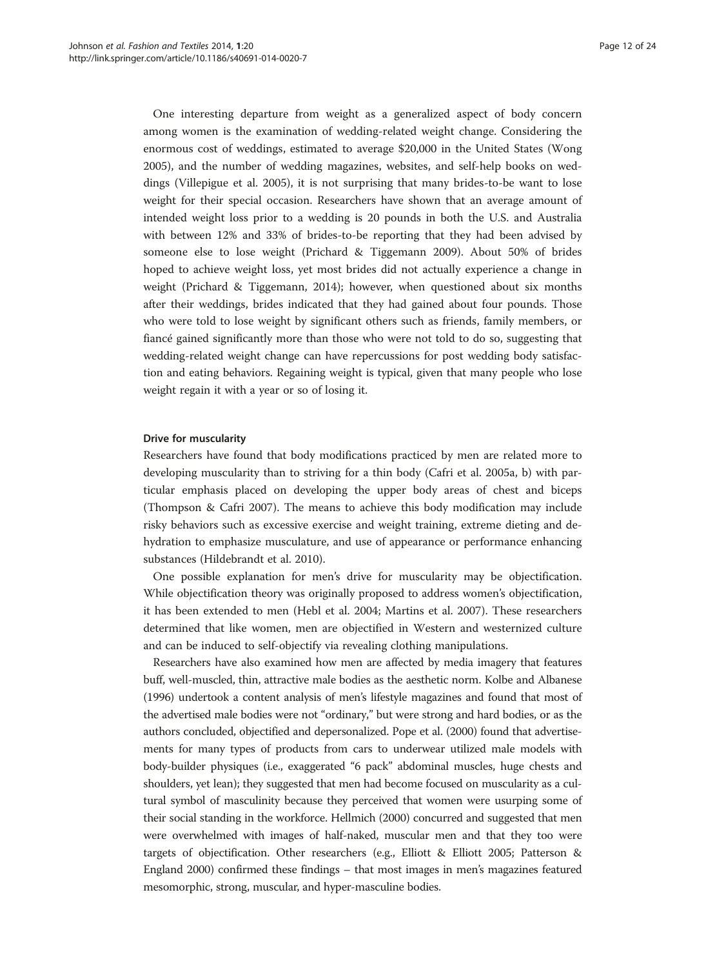One interesting departure from weight as a generalized aspect of body concern among women is the examination of wedding-related weight change. Considering the enormous cost of weddings, estimated to average \$20,000 in the United States (Wong [2005](#page-23-0)), and the number of wedding magazines, websites, and self-help books on weddings (Villepigue et al. [2005](#page-23-0)), it is not surprising that many brides-to-be want to lose weight for their special occasion. Researchers have shown that an average amount of intended weight loss prior to a wedding is 20 pounds in both the U.S. and Australia with between 12% and 33% of brides-to-be reporting that they had been advised by someone else to lose weight (Prichard & Tiggemann [2009](#page-23-0)). About 50% of brides hoped to achieve weight loss, yet most brides did not actually experience a change in weight (Prichard & Tiggemann, [2014\)](#page-23-0); however, when questioned about six months after their weddings, brides indicated that they had gained about four pounds. Those who were told to lose weight by significant others such as friends, family members, or fiancé gained significantly more than those who were not told to do so, suggesting that wedding-related weight change can have repercussions for post wedding body satisfaction and eating behaviors. Regaining weight is typical, given that many people who lose weight regain it with a year or so of losing it.

### Drive for muscularity

Researchers have found that body modifications practiced by men are related more to developing muscularity than to striving for a thin body (Cafri et al. [2005a, b](#page-21-0)) with particular emphasis placed on developing the upper body areas of chest and biceps (Thompson & Cafri [2007\)](#page-23-0). The means to achieve this body modification may include risky behaviors such as excessive exercise and weight training, extreme dieting and dehydration to emphasize musculature, and use of appearance or performance enhancing substances (Hildebrandt et al. [2010\)](#page-21-0).

One possible explanation for men's drive for muscularity may be objectification. While objectification theory was originally proposed to address women's objectification, it has been extended to men (Hebl et al. [2004](#page-21-0); Martins et al. [2007](#page-22-0)). These researchers determined that like women, men are objectified in Western and westernized culture and can be induced to self-objectify via revealing clothing manipulations.

Researchers have also examined how men are affected by media imagery that features buff, well-muscled, thin, attractive male bodies as the aesthetic norm. Kolbe and Albanese ([1996\)](#page-22-0) undertook a content analysis of men's lifestyle magazines and found that most of the advertised male bodies were not "ordinary," but were strong and hard bodies, or as the authors concluded, objectified and depersonalized. Pope et al. [\(2000](#page-22-0)) found that advertisements for many types of products from cars to underwear utilized male models with body-builder physiques (i.e., exaggerated "6 pack" abdominal muscles, huge chests and shoulders, yet lean); they suggested that men had become focused on muscularity as a cultural symbol of masculinity because they perceived that women were usurping some of their social standing in the workforce. Hellmich [\(2000](#page-21-0)) concurred and suggested that men were overwhelmed with images of half-naked, muscular men and that they too were targets of objectification. Other researchers (e.g., Elliott & Elliott [2005;](#page-21-0) Patterson & England [2000\)](#page-22-0) confirmed these findings – that most images in men's magazines featured mesomorphic, strong, muscular, and hyper-masculine bodies.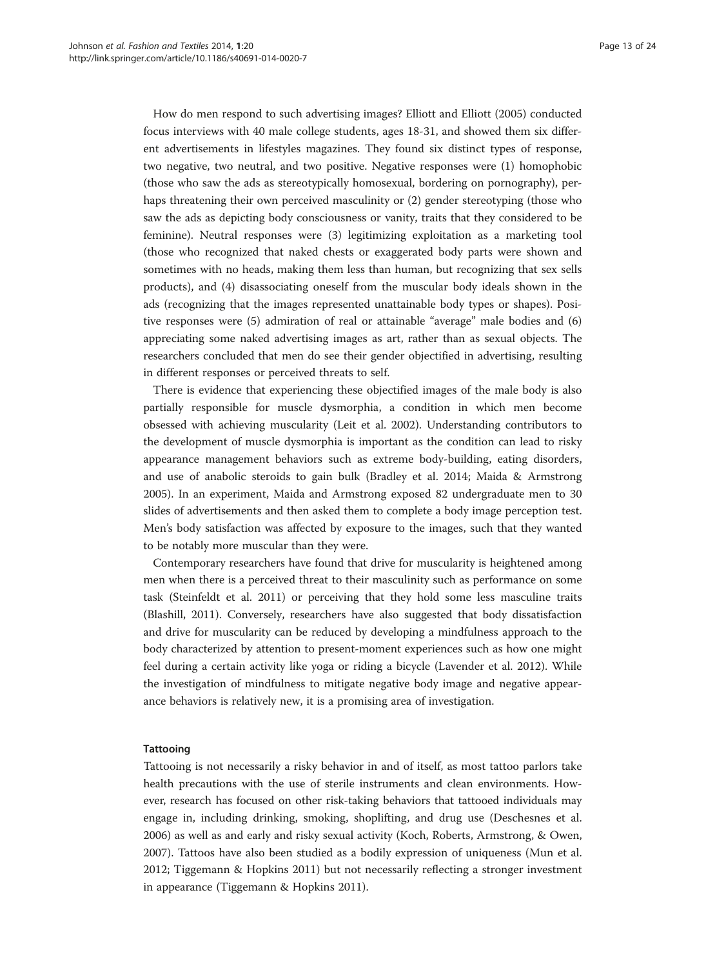How do men respond to such advertising images? Elliott and Elliott [\(2005\)](#page-21-0) conducted focus interviews with 40 male college students, ages 18-31, and showed them six different advertisements in lifestyles magazines. They found six distinct types of response, two negative, two neutral, and two positive. Negative responses were (1) homophobic (those who saw the ads as stereotypically homosexual, bordering on pornography), perhaps threatening their own perceived masculinity or (2) gender stereotyping (those who saw the ads as depicting body consciousness or vanity, traits that they considered to be feminine). Neutral responses were (3) legitimizing exploitation as a marketing tool (those who recognized that naked chests or exaggerated body parts were shown and sometimes with no heads, making them less than human, but recognizing that sex sells products), and (4) disassociating oneself from the muscular body ideals shown in the ads (recognizing that the images represented unattainable body types or shapes). Positive responses were (5) admiration of real or attainable "average" male bodies and (6) appreciating some naked advertising images as art, rather than as sexual objects. The researchers concluded that men do see their gender objectified in advertising, resulting in different responses or perceived threats to self.

There is evidence that experiencing these objectified images of the male body is also partially responsible for muscle dysmorphia, a condition in which men become obsessed with achieving muscularity (Leit et al. [2002\)](#page-22-0). Understanding contributors to the development of muscle dysmorphia is important as the condition can lead to risky appearance management behaviors such as extreme body-building, eating disorders, and use of anabolic steroids to gain bulk (Bradley et al. [2014](#page-20-0); Maida & Armstrong [2005](#page-22-0)). In an experiment, Maida and Armstrong exposed 82 undergraduate men to 30 slides of advertisements and then asked them to complete a body image perception test. Men's body satisfaction was affected by exposure to the images, such that they wanted to be notably more muscular than they were.

Contemporary researchers have found that drive for muscularity is heightened among men when there is a perceived threat to their masculinity such as performance on some task (Steinfeldt et al. [2011](#page-23-0)) or perceiving that they hold some less masculine traits (Blashill, 2011). Conversely, researchers have also suggested that body dissatisfaction and drive for muscularity can be reduced by developing a mindfulness approach to the body characterized by attention to present-moment experiences such as how one might feel during a certain activity like yoga or riding a bicycle (Lavender et al. [2012](#page-22-0)). While the investigation of mindfulness to mitigate negative body image and negative appearance behaviors is relatively new, it is a promising area of investigation.

#### Tattooing

Tattooing is not necessarily a risky behavior in and of itself, as most tattoo parlors take health precautions with the use of sterile instruments and clean environments. However, research has focused on other risk-taking behaviors that tattooed individuals may engage in, including drinking, smoking, shoplifting, and drug use (Deschesnes et al. [2006](#page-21-0)) as well as and early and risky sexual activity (Koch, Roberts, Armstrong, & Owen, 2007). Tattoos have also been studied as a bodily expression of uniqueness (Mun et al. [2012](#page-22-0); Tiggemann & Hopkins [2011\)](#page-23-0) but not necessarily reflecting a stronger investment in appearance (Tiggemann & Hopkins [2011](#page-23-0)).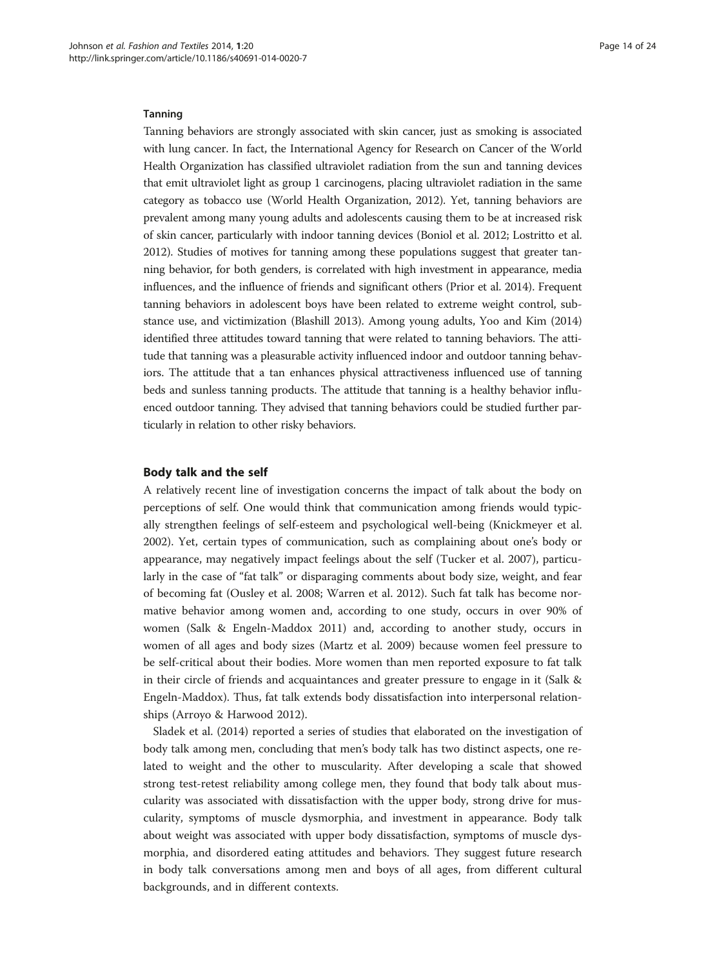#### Tanning

Tanning behaviors are strongly associated with skin cancer, just as smoking is associated with lung cancer. In fact, the International Agency for Research on Cancer of the World Health Organization has classified ultraviolet radiation from the sun and tanning devices that emit ultraviolet light as group 1 carcinogens, placing ultraviolet radiation in the same category as tobacco use (World Health Organization, [2012\)](#page-23-0). Yet, tanning behaviors are prevalent among many young adults and adolescents causing them to be at increased risk of skin cancer, particularly with indoor tanning devices (Boniol et al. [2012;](#page-20-0) Lostritto et al. [2012\)](#page-22-0). Studies of motives for tanning among these populations suggest that greater tanning behavior, for both genders, is correlated with high investment in appearance, media influences, and the influence of friends and significant others (Prior et al. [2014\)](#page-23-0). Frequent tanning behaviors in adolescent boys have been related to extreme weight control, substance use, and victimization (Blashill [2013\)](#page-20-0). Among young adults, Yoo and Kim [\(2014](#page-23-0)) identified three attitudes toward tanning that were related to tanning behaviors. The attitude that tanning was a pleasurable activity influenced indoor and outdoor tanning behaviors. The attitude that a tan enhances physical attractiveness influenced use of tanning beds and sunless tanning products. The attitude that tanning is a healthy behavior influenced outdoor tanning. They advised that tanning behaviors could be studied further particularly in relation to other risky behaviors.

#### Body talk and the self

A relatively recent line of investigation concerns the impact of talk about the body on perceptions of self. One would think that communication among friends would typically strengthen feelings of self-esteem and psychological well-being (Knickmeyer et al. [2002](#page-22-0)). Yet, certain types of communication, such as complaining about one's body or appearance, may negatively impact feelings about the self (Tucker et al. [2007\)](#page-23-0), particularly in the case of "fat talk" or disparaging comments about body size, weight, and fear of becoming fat (Ousley et al. [2008;](#page-22-0) Warren et al. [2012](#page-23-0)). Such fat talk has become normative behavior among women and, according to one study, occurs in over 90% of women (Salk & Engeln-Maddox [2011](#page-23-0)) and, according to another study, occurs in women of all ages and body sizes (Martz et al. [2009](#page-22-0)) because women feel pressure to be self-critical about their bodies. More women than men reported exposure to fat talk in their circle of friends and acquaintances and greater pressure to engage in it (Salk & Engeln-Maddox). Thus, fat talk extends body dissatisfaction into interpersonal relationships (Arroyo & Harwood [2012\)](#page-20-0).

Sladek et al. [\(2014\)](#page-23-0) reported a series of studies that elaborated on the investigation of body talk among men, concluding that men's body talk has two distinct aspects, one related to weight and the other to muscularity. After developing a scale that showed strong test-retest reliability among college men, they found that body talk about muscularity was associated with dissatisfaction with the upper body, strong drive for muscularity, symptoms of muscle dysmorphia, and investment in appearance. Body talk about weight was associated with upper body dissatisfaction, symptoms of muscle dysmorphia, and disordered eating attitudes and behaviors. They suggest future research in body talk conversations among men and boys of all ages, from different cultural backgrounds, and in different contexts.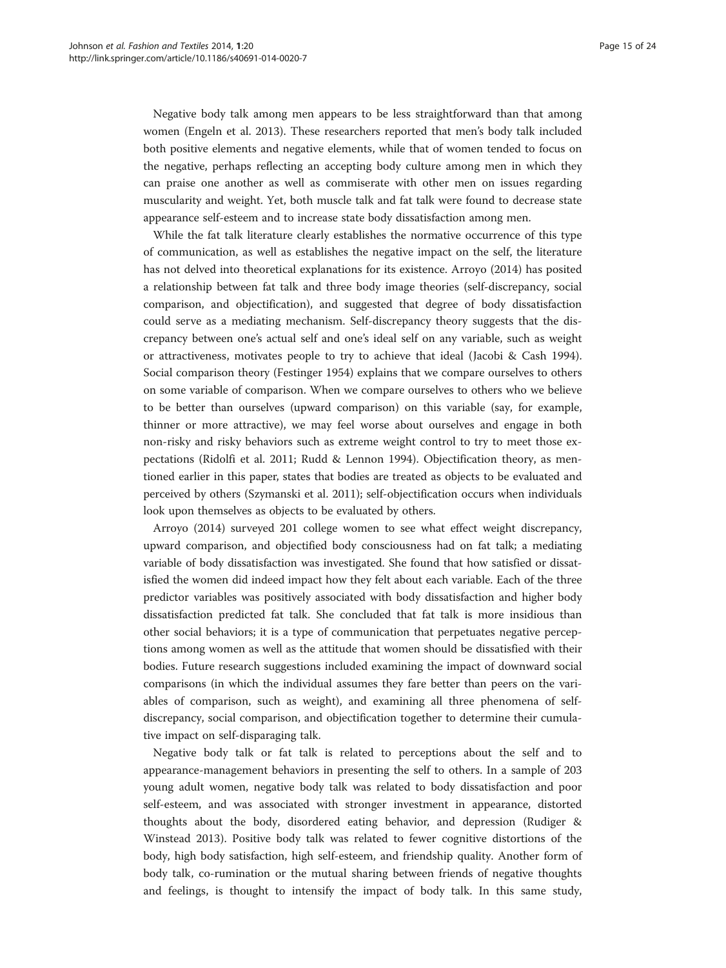Negative body talk among men appears to be less straightforward than that among women (Engeln et al. [2013](#page-21-0)). These researchers reported that men's body talk included both positive elements and negative elements, while that of women tended to focus on the negative, perhaps reflecting an accepting body culture among men in which they can praise one another as well as commiserate with other men on issues regarding muscularity and weight. Yet, both muscle talk and fat talk were found to decrease state appearance self-esteem and to increase state body dissatisfaction among men.

While the fat talk literature clearly establishes the normative occurrence of this type of communication, as well as establishes the negative impact on the self, the literature has not delved into theoretical explanations for its existence. Arroyo ([2014](#page-20-0)) has posited a relationship between fat talk and three body image theories (self-discrepancy, social comparison, and objectification), and suggested that degree of body dissatisfaction could serve as a mediating mechanism. Self-discrepancy theory suggests that the discrepancy between one's actual self and one's ideal self on any variable, such as weight or attractiveness, motivates people to try to achieve that ideal (Jacobi & Cash [1994](#page-21-0)). Social comparison theory (Festinger [1954](#page-21-0)) explains that we compare ourselves to others on some variable of comparison. When we compare ourselves to others who we believe to be better than ourselves (upward comparison) on this variable (say, for example, thinner or more attractive), we may feel worse about ourselves and engage in both non-risky and risky behaviors such as extreme weight control to try to meet those expectations (Ridolfi et al. [2011](#page-23-0); Rudd & Lennon [1994\)](#page-23-0). Objectification theory, as mentioned earlier in this paper, states that bodies are treated as objects to be evaluated and perceived by others (Szymanski et al. [2011](#page-23-0)); self-objectification occurs when individuals look upon themselves as objects to be evaluated by others.

Arroyo [\(2014\)](#page-20-0) surveyed 201 college women to see what effect weight discrepancy, upward comparison, and objectified body consciousness had on fat talk; a mediating variable of body dissatisfaction was investigated. She found that how satisfied or dissatisfied the women did indeed impact how they felt about each variable. Each of the three predictor variables was positively associated with body dissatisfaction and higher body dissatisfaction predicted fat talk. She concluded that fat talk is more insidious than other social behaviors; it is a type of communication that perpetuates negative perceptions among women as well as the attitude that women should be dissatisfied with their bodies. Future research suggestions included examining the impact of downward social comparisons (in which the individual assumes they fare better than peers on the variables of comparison, such as weight), and examining all three phenomena of selfdiscrepancy, social comparison, and objectification together to determine their cumulative impact on self-disparaging talk.

Negative body talk or fat talk is related to perceptions about the self and to appearance-management behaviors in presenting the self to others. In a sample of 203 young adult women, negative body talk was related to body dissatisfaction and poor self-esteem, and was associated with stronger investment in appearance, distorted thoughts about the body, disordered eating behavior, and depression (Rudiger & Winstead [2013\)](#page-23-0). Positive body talk was related to fewer cognitive distortions of the body, high body satisfaction, high self-esteem, and friendship quality. Another form of body talk, co-rumination or the mutual sharing between friends of negative thoughts and feelings, is thought to intensify the impact of body talk. In this same study,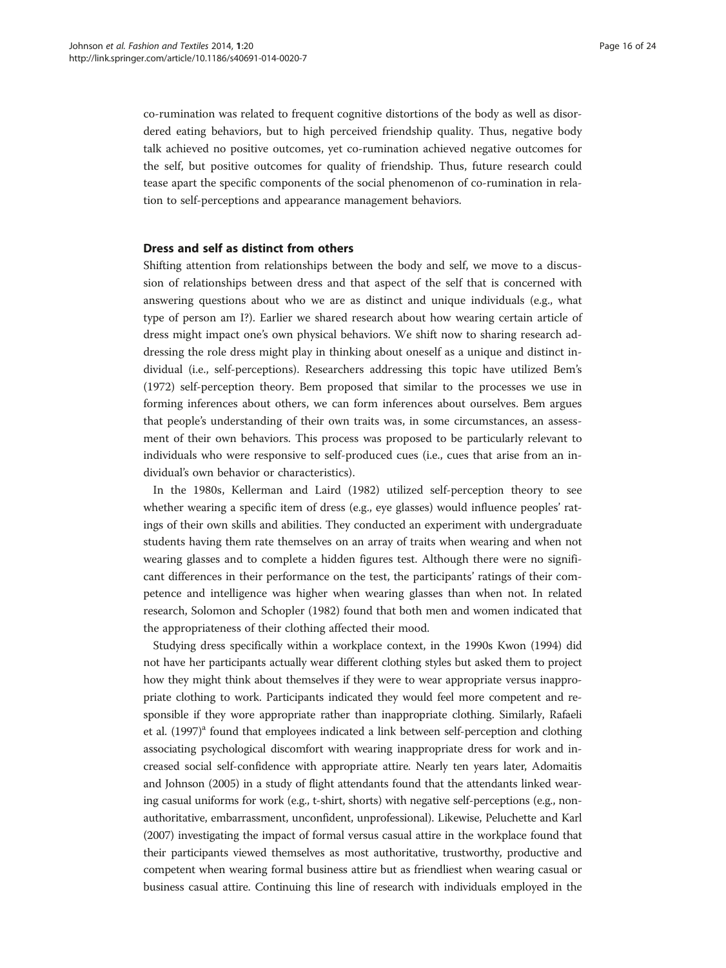co-rumination was related to frequent cognitive distortions of the body as well as disordered eating behaviors, but to high perceived friendship quality. Thus, negative body talk achieved no positive outcomes, yet co-rumination achieved negative outcomes for the self, but positive outcomes for quality of friendship. Thus, future research could tease apart the specific components of the social phenomenon of co-rumination in relation to self-perceptions and appearance management behaviors.

# Dress and self as distinct from others

Shifting attention from relationships between the body and self, we move to a discussion of relationships between dress and that aspect of the self that is concerned with answering questions about who we are as distinct and unique individuals (e.g., what type of person am I?). Earlier we shared research about how wearing certain article of dress might impact one's own physical behaviors. We shift now to sharing research addressing the role dress might play in thinking about oneself as a unique and distinct individual (i.e., self-perceptions). Researchers addressing this topic have utilized Bem's ([1972](#page-20-0)) self-perception theory. Bem proposed that similar to the processes we use in forming inferences about others, we can form inferences about ourselves. Bem argues that people's understanding of their own traits was, in some circumstances, an assessment of their own behaviors. This process was proposed to be particularly relevant to individuals who were responsive to self-produced cues (i.e., cues that arise from an individual's own behavior or characteristics).

In the 1980s, Kellerman and Laird ([1982](#page-22-0)) utilized self-perception theory to see whether wearing a specific item of dress (e.g., eye glasses) would influence peoples' ratings of their own skills and abilities. They conducted an experiment with undergraduate students having them rate themselves on an array of traits when wearing and when not wearing glasses and to complete a hidden figures test. Although there were no significant differences in their performance on the test, the participants' ratings of their competence and intelligence was higher when wearing glasses than when not. In related research, Solomon and Schopler [\(1982\)](#page-23-0) found that both men and women indicated that the appropriateness of their clothing affected their mood.

Studying dress specifically within a workplace context, in the 1990s Kwon ([1994\)](#page-22-0) did not have her participants actually wear different clothing styles but asked them to project how they might think about themselves if they were to wear appropriate versus inappropriate clothing to work. Participants indicated they would feel more competent and responsible if they wore appropriate rather than inappropriate clothing. Similarly, Rafaeli et al.  $(1997)^{a}$  $(1997)^{a}$  found that employees indicated a link between self-perception and clothing associating psychological discomfort with wearing inappropriate dress for work and increased social self-confidence with appropriate attire. Nearly ten years later, Adomaitis and Johnson [\(2005](#page-20-0)) in a study of flight attendants found that the attendants linked wearing casual uniforms for work (e.g., t-shirt, shorts) with negative self-perceptions (e.g., nonauthoritative, embarrassment, unconfident, unprofessional). Likewise, Peluchette and Karl ([2007\)](#page-22-0) investigating the impact of formal versus casual attire in the workplace found that their participants viewed themselves as most authoritative, trustworthy, productive and competent when wearing formal business attire but as friendliest when wearing casual or business casual attire. Continuing this line of research with individuals employed in the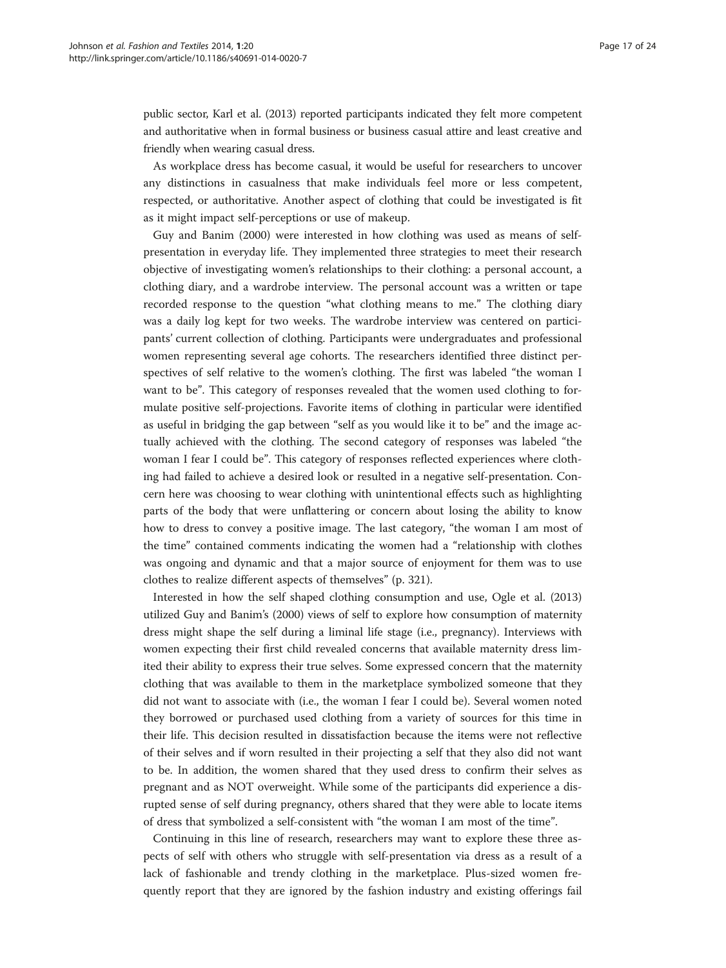public sector, Karl et al. ([2013\)](#page-22-0) reported participants indicated they felt more competent and authoritative when in formal business or business casual attire and least creative and friendly when wearing casual dress.

As workplace dress has become casual, it would be useful for researchers to uncover any distinctions in casualness that make individuals feel more or less competent, respected, or authoritative. Another aspect of clothing that could be investigated is fit as it might impact self-perceptions or use of makeup.

Guy and Banim [\(2000\)](#page-21-0) were interested in how clothing was used as means of selfpresentation in everyday life. They implemented three strategies to meet their research objective of investigating women's relationships to their clothing: a personal account, a clothing diary, and a wardrobe interview. The personal account was a written or tape recorded response to the question "what clothing means to me." The clothing diary was a daily log kept for two weeks. The wardrobe interview was centered on participants' current collection of clothing. Participants were undergraduates and professional women representing several age cohorts. The researchers identified three distinct perspectives of self relative to the women's clothing. The first was labeled "the woman I want to be". This category of responses revealed that the women used clothing to formulate positive self-projections. Favorite items of clothing in particular were identified as useful in bridging the gap between "self as you would like it to be" and the image actually achieved with the clothing. The second category of responses was labeled "the woman I fear I could be". This category of responses reflected experiences where clothing had failed to achieve a desired look or resulted in a negative self-presentation. Concern here was choosing to wear clothing with unintentional effects such as highlighting parts of the body that were unflattering or concern about losing the ability to know how to dress to convey a positive image. The last category, "the woman I am most of the time" contained comments indicating the women had a "relationship with clothes was ongoing and dynamic and that a major source of enjoyment for them was to use clothes to realize different aspects of themselves" (p. 321).

Interested in how the self shaped clothing consumption and use, Ogle et al. ([2013](#page-22-0)) utilized Guy and Banim's ([2000](#page-21-0)) views of self to explore how consumption of maternity dress might shape the self during a liminal life stage (i.e., pregnancy). Interviews with women expecting their first child revealed concerns that available maternity dress limited their ability to express their true selves. Some expressed concern that the maternity clothing that was available to them in the marketplace symbolized someone that they did not want to associate with (i.e., the woman I fear I could be). Several women noted they borrowed or purchased used clothing from a variety of sources for this time in their life. This decision resulted in dissatisfaction because the items were not reflective of their selves and if worn resulted in their projecting a self that they also did not want to be. In addition, the women shared that they used dress to confirm their selves as pregnant and as NOT overweight. While some of the participants did experience a disrupted sense of self during pregnancy, others shared that they were able to locate items of dress that symbolized a self-consistent with "the woman I am most of the time".

Continuing in this line of research, researchers may want to explore these three aspects of self with others who struggle with self-presentation via dress as a result of a lack of fashionable and trendy clothing in the marketplace. Plus-sized women frequently report that they are ignored by the fashion industry and existing offerings fail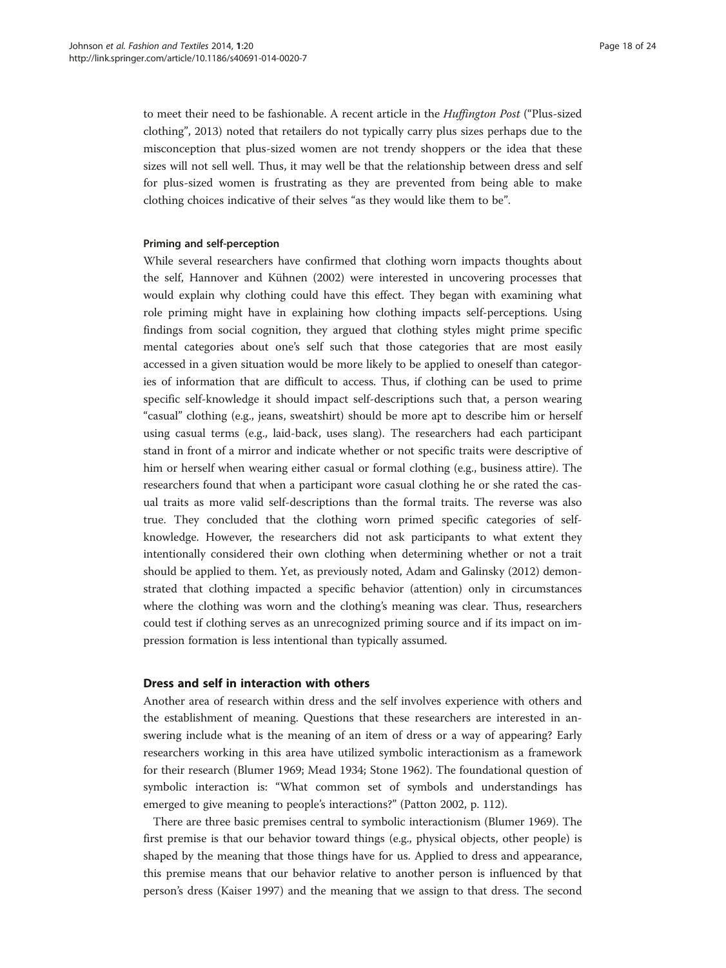to meet their need to be fashionable. A recent article in the Huffington Post ("Plus-sized clothing", [2013](#page-22-0)) noted that retailers do not typically carry plus sizes perhaps due to the misconception that plus-sized women are not trendy shoppers or the idea that these sizes will not sell well. Thus, it may well be that the relationship between dress and self for plus-sized women is frustrating as they are prevented from being able to make clothing choices indicative of their selves "as they would like them to be".

#### Priming and self-perception

While several researchers have confirmed that clothing worn impacts thoughts about the self, Hannover and Kühnen [\(2002\)](#page-21-0) were interested in uncovering processes that would explain why clothing could have this effect. They began with examining what role priming might have in explaining how clothing impacts self-perceptions. Using findings from social cognition, they argued that clothing styles might prime specific mental categories about one's self such that those categories that are most easily accessed in a given situation would be more likely to be applied to oneself than categories of information that are difficult to access. Thus, if clothing can be used to prime specific self-knowledge it should impact self-descriptions such that, a person wearing "casual" clothing (e.g., jeans, sweatshirt) should be more apt to describe him or herself using casual terms (e.g., laid-back, uses slang). The researchers had each participant stand in front of a mirror and indicate whether or not specific traits were descriptive of him or herself when wearing either casual or formal clothing (e.g., business attire). The researchers found that when a participant wore casual clothing he or she rated the casual traits as more valid self-descriptions than the formal traits. The reverse was also true. They concluded that the clothing worn primed specific categories of selfknowledge. However, the researchers did not ask participants to what extent they intentionally considered their own clothing when determining whether or not a trait should be applied to them. Yet, as previously noted, Adam and Galinsky [\(2012\)](#page-20-0) demonstrated that clothing impacted a specific behavior (attention) only in circumstances where the clothing was worn and the clothing's meaning was clear. Thus, researchers could test if clothing serves as an unrecognized priming source and if its impact on impression formation is less intentional than typically assumed.

#### Dress and self in interaction with others

Another area of research within dress and the self involves experience with others and the establishment of meaning. Questions that these researchers are interested in answering include what is the meaning of an item of dress or a way of appearing? Early researchers working in this area have utilized symbolic interactionism as a framework for their research (Blumer [1969](#page-20-0); Mead [1934](#page-22-0); Stone [1962](#page-23-0)). The foundational question of symbolic interaction is: "What common set of symbols and understandings has emerged to give meaning to people's interactions?" (Patton [2002,](#page-22-0) p. 112).

There are three basic premises central to symbolic interactionism (Blumer [1969](#page-20-0)). The first premise is that our behavior toward things (e.g., physical objects, other people) is shaped by the meaning that those things have for us. Applied to dress and appearance, this premise means that our behavior relative to another person is influenced by that person's dress (Kaiser [1997\)](#page-22-0) and the meaning that we assign to that dress. The second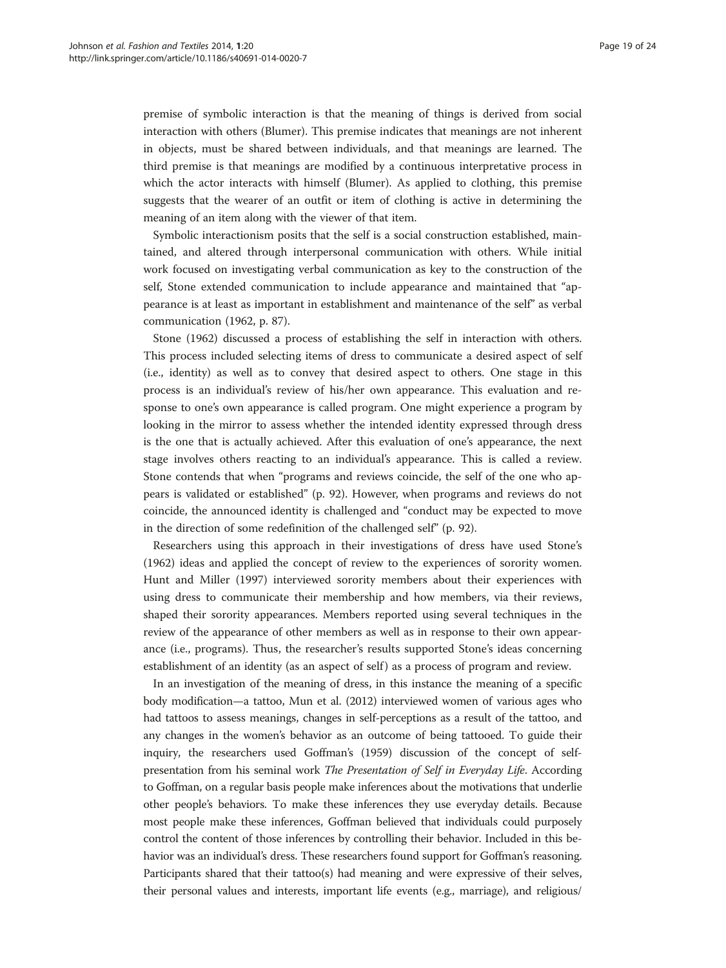premise of symbolic interaction is that the meaning of things is derived from social interaction with others (Blumer). This premise indicates that meanings are not inherent in objects, must be shared between individuals, and that meanings are learned. The third premise is that meanings are modified by a continuous interpretative process in which the actor interacts with himself (Blumer). As applied to clothing, this premise suggests that the wearer of an outfit or item of clothing is active in determining the meaning of an item along with the viewer of that item.

Symbolic interactionism posits that the self is a social construction established, maintained, and altered through interpersonal communication with others. While initial work focused on investigating verbal communication as key to the construction of the self, Stone extended communication to include appearance and maintained that "appearance is at least as important in establishment and maintenance of the self" as verbal communication (1962, p. 87).

Stone [\(1962\)](#page-23-0) discussed a process of establishing the self in interaction with others. This process included selecting items of dress to communicate a desired aspect of self (i.e., identity) as well as to convey that desired aspect to others. One stage in this process is an individual's review of his/her own appearance. This evaluation and response to one's own appearance is called program. One might experience a program by looking in the mirror to assess whether the intended identity expressed through dress is the one that is actually achieved. After this evaluation of one's appearance, the next stage involves others reacting to an individual's appearance. This is called a review. Stone contends that when "programs and reviews coincide, the self of the one who appears is validated or established" (p. 92). However, when programs and reviews do not coincide, the announced identity is challenged and "conduct may be expected to move in the direction of some redefinition of the challenged self" (p. 92).

Researchers using this approach in their investigations of dress have used Stone's ([1962](#page-23-0)) ideas and applied the concept of review to the experiences of sorority women. Hunt and Miller ([1997](#page-21-0)) interviewed sorority members about their experiences with using dress to communicate their membership and how members, via their reviews, shaped their sorority appearances. Members reported using several techniques in the review of the appearance of other members as well as in response to their own appearance (i.e., programs). Thus, the researcher's results supported Stone's ideas concerning establishment of an identity (as an aspect of self) as a process of program and review.

In an investigation of the meaning of dress, in this instance the meaning of a specific body modification—a tattoo, Mun et al. ([2012](#page-22-0)) interviewed women of various ages who had tattoos to assess meanings, changes in self-perceptions as a result of the tattoo, and any changes in the women's behavior as an outcome of being tattooed. To guide their inquiry, the researchers used Goffman's [\(1959\)](#page-21-0) discussion of the concept of selfpresentation from his seminal work The Presentation of Self in Everyday Life. According to Goffman, on a regular basis people make inferences about the motivations that underlie other people's behaviors. To make these inferences they use everyday details. Because most people make these inferences, Goffman believed that individuals could purposely control the content of those inferences by controlling their behavior. Included in this behavior was an individual's dress. These researchers found support for Goffman's reasoning. Participants shared that their tattoo(s) had meaning and were expressive of their selves, their personal values and interests, important life events (e.g., marriage), and religious/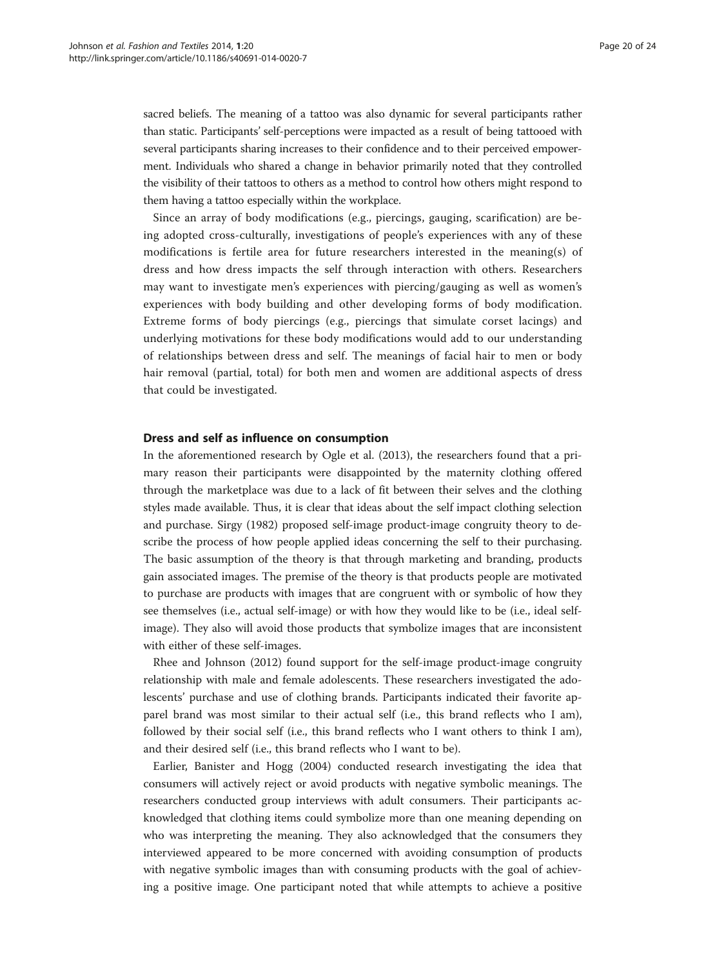sacred beliefs. The meaning of a tattoo was also dynamic for several participants rather than static. Participants' self-perceptions were impacted as a result of being tattooed with several participants sharing increases to their confidence and to their perceived empowerment. Individuals who shared a change in behavior primarily noted that they controlled the visibility of their tattoos to others as a method to control how others might respond to them having a tattoo especially within the workplace.

Since an array of body modifications (e.g., piercings, gauging, scarification) are being adopted cross-culturally, investigations of people's experiences with any of these modifications is fertile area for future researchers interested in the meaning(s) of dress and how dress impacts the self through interaction with others. Researchers may want to investigate men's experiences with piercing/gauging as well as women's experiences with body building and other developing forms of body modification. Extreme forms of body piercings (e.g., piercings that simulate corset lacings) and underlying motivations for these body modifications would add to our understanding of relationships between dress and self. The meanings of facial hair to men or body hair removal (partial, total) for both men and women are additional aspects of dress that could be investigated.

#### Dress and self as influence on consumption

In the aforementioned research by Ogle et al. ([2013](#page-22-0)), the researchers found that a primary reason their participants were disappointed by the maternity clothing offered through the marketplace was due to a lack of fit between their selves and the clothing styles made available. Thus, it is clear that ideas about the self impact clothing selection and purchase. Sirgy [\(1982\)](#page-23-0) proposed self-image product-image congruity theory to describe the process of how people applied ideas concerning the self to their purchasing. The basic assumption of the theory is that through marketing and branding, products gain associated images. The premise of the theory is that products people are motivated to purchase are products with images that are congruent with or symbolic of how they see themselves (i.e., actual self-image) or with how they would like to be (i.e., ideal selfimage). They also will avoid those products that symbolize images that are inconsistent with either of these self-images.

Rhee and Johnson ([2012](#page-23-0)) found support for the self-image product-image congruity relationship with male and female adolescents. These researchers investigated the adolescents' purchase and use of clothing brands. Participants indicated their favorite apparel brand was most similar to their actual self (i.e., this brand reflects who I am), followed by their social self (i.e., this brand reflects who I want others to think I am), and their desired self (i.e., this brand reflects who I want to be).

Earlier, Banister and Hogg [\(2004\)](#page-20-0) conducted research investigating the idea that consumers will actively reject or avoid products with negative symbolic meanings. The researchers conducted group interviews with adult consumers. Their participants acknowledged that clothing items could symbolize more than one meaning depending on who was interpreting the meaning. They also acknowledged that the consumers they interviewed appeared to be more concerned with avoiding consumption of products with negative symbolic images than with consuming products with the goal of achieving a positive image. One participant noted that while attempts to achieve a positive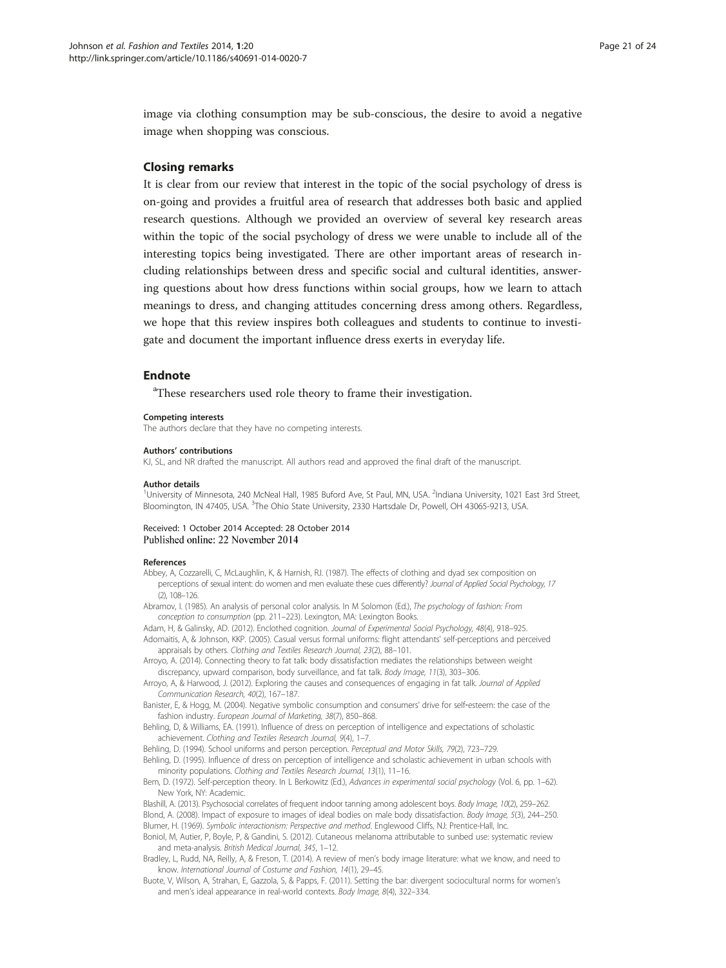<span id="page-20-0"></span>image via clothing consumption may be sub-conscious, the desire to avoid a negative image when shopping was conscious.

#### Closing remarks

It is clear from our review that interest in the topic of the social psychology of dress is on-going and provides a fruitful area of research that addresses both basic and applied research questions. Although we provided an overview of several key research areas within the topic of the social psychology of dress we were unable to include all of the interesting topics being investigated. There are other important areas of research including relationships between dress and specific social and cultural identities, answering questions about how dress functions within social groups, how we learn to attach meanings to dress, and changing attitudes concerning dress among others. Regardless, we hope that this review inspires both colleagues and students to continue to investigate and document the important influence dress exerts in everyday life.

#### Endnote

<sup>a</sup>These researchers used role theory to frame their investigation.

#### Competing interests

The authors declare that they have no competing interests.

#### Authors' contributions

KJ, SL, and NR drafted the manuscript. All authors read and approved the final draft of the manuscript.

#### Author details

<sup>1</sup>University of Minnesota, 240 McNeal Hall, 1985 Buford Ave, St Paul, MN, USA. <sup>2</sup>Indiana University, 1021 East 3rd Street, Bloomington, IN 47405, USA. <sup>3</sup>The Ohio State University, 2330 Hartsdale Dr, Powell, OH 43065-9213, USA.

#### Received: 1 October 2014 Accepted: 28 October 2014 Published online: 22 November 2014

#### References

- Abbey, A, Cozzarelli, C, McLaughlin, K, & Harnish, RJ. (1987). The effects of clothing and dyad sex composition on perceptions of sexual intent: do women and men evaluate these cues differently? Journal of Applied Social Psychology, 17 (2), 108–126.
- Abramov, I. (1985). An analysis of personal color analysis. In M Solomon (Ed.), The psychology of fashion: From conception to consumption (pp. 211–223). Lexington, MA: Lexington Books.
- Adam, H, & Galinsky, AD. (2012). Enclothed cognition. Journal of Experimental Social Psychology, 48(4), 918-925. Adomaitis, A, & Johnson, KKP. (2005). Casual versus formal uniforms: flight attendants' self-perceptions and perceived appraisals by others. Clothing and Textiles Research Journal, 23(2), 88–101.
- Arroyo, A. (2014). Connecting theory to fat talk: body dissatisfaction mediates the relationships between weight discrepancy, upward comparison, body surveillance, and fat talk. Body Image, 11(3), 303–306.
- Arroyo, A, & Harwood, J. (2012). Exploring the causes and consequences of engaging in fat talk. Journal of Applied Communication Research, 40(2), 167–187.
- Banister, E, & Hogg, M. (2004). Negative symbolic consumption and consumers' drive for self‐esteem: the case of the fashion industry. European Journal of Marketing, 38(7), 850–868.
- Behling, D, & Williams, EA. (1991). Influence of dress on perception of intelligence and expectations of scholastic achievement. Clothing and Textiles Research Journal, 9(4), 1–7.
- Behling, D. (1994). School uniforms and person perception. Perceptual and Motor Skills, 79(2), 723–729.
- Behling, D. (1995). Influence of dress on perception of intelligence and scholastic achievement in urban schools with minority populations. Clothing and Textiles Research Journal, 13(1), 11–16.
- Bem, D. (1972). Self-perception theory. In L Berkowitz (Ed.), Advances in experimental social psychology (Vol. 6, pp. 1–62). New York, NY: Academic.

Blashill, A. (2013). Psychosocial correlates of frequent indoor tanning among adolescent boys. Body Image, 10(2), 259–262. Blond, A. (2008). Impact of exposure to images of ideal bodies on male body dissatisfaction. Body Image, 5(3), 244–250. Blumer, H. (1969). Symbolic interactionism: Perspective and method. Englewood Cliffs, NJ: Prentice-Hall, Inc.

- Boniol, M, Autier, P, Boyle, P, & Gandini, S. (2012). Cutaneous melanoma attributable to sunbed use: systematic review and meta-analysis. British Medical Journal, 345, 1–12.
- Bradley, L, Rudd, NA, Reilly, A, & Freson, T. (2014). A review of men's body image literature: what we know, and need to know. International Journal of Costume and Fashion, 14(1), 29–45.
- Buote, V, Wilson, A, Strahan, E, Gazzola, S, & Papps, F. (2011). Setting the bar: divergent sociocultural norms for women's and men's ideal appearance in real-world contexts. Body Image, 8(4), 322–334.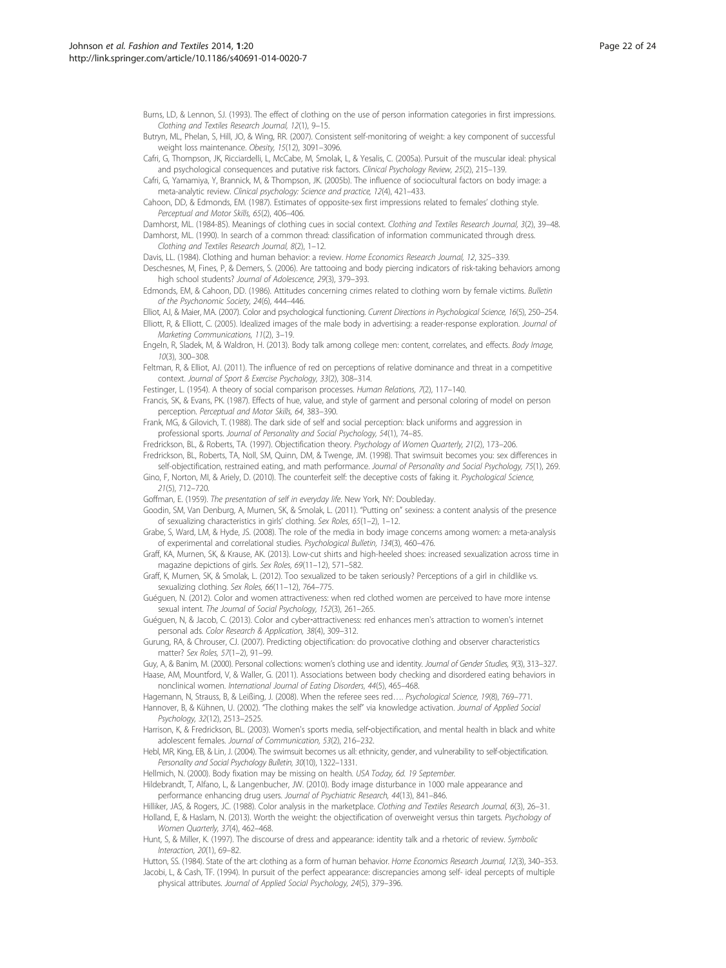<span id="page-21-0"></span>Burns, LD, & Lennon, SJ. (1993). The effect of clothing on the use of person information categories in first impressions. Clothing and Textiles Research Journal, 12(1), 9–15.

Butryn, ML, Phelan, S, Hill, JO, & Wing, RR. (2007). Consistent self-monitoring of weight: a key component of successful weight loss maintenance. Obesity, 15(12), 3091–3096.

Cafri, G, Thompson, JK, Ricciardelli, L, McCabe, M, Smolak, L, & Yesalis, C. (2005a). Pursuit of the muscular ideal: physical and psychological consequences and putative risk factors. Clinical Psychology Review, 25(2), 215-139.

Cafri, G, Yamamiya, Y, Brannick, M, & Thompson, JK. (2005b). The influence of sociocultural factors on body image: a meta-analytic review. Clinical psychology: Science and practice, 12(4), 421–433.

Cahoon, DD, & Edmonds, EM. (1987). Estimates of opposite-sex first impressions related to females' clothing style. Perceptual and Motor Skills, 65(2), 406–406.

Damhorst, ML. (1984-85). Meanings of clothing cues in social context. Clothing and Textiles Research Journal, 3(2), 39–48. Damhorst, ML. (1990). In search of a common thread: classification of information communicated through dress.

Clothing and Textiles Research Journal, 8(2), 1–12. Davis, LL. (1984). Clothing and human behavior: a review. Home Economics Research Journal, 12, 325–339.

Deschesnes, M, Fines, P, & Demers, S. (2006). Are tattooing and body piercing indicators of risk-taking behaviors among high school students? Journal of Adolescence, 29(3), 379–393.

Edmonds, EM, & Cahoon, DD. (1986). Attitudes concerning crimes related to clothing worn by female victims. Bulletin of the Psychonomic Society, 24(6), 444–446.

Elliot, AJ, & Maier, MA. (2007). Color and psychological functioning. Current Directions in Psychological Science, 16(5), 250–254. Elliott, R, & Elliott, C. (2005). Idealized images of the male body in advertising: a reader-response exploration. Journal of Marketing Communications, 11(2), 3–19.

Engeln, R, Sladek, M, & Waldron, H. (2013). Body talk among college men: content, correlates, and effects. Body Image, 10(3), 300–308.

Feltman, R, & Elliot, AJ. (2011). The influence of red on perceptions of relative dominance and threat in a competitive context. Journal of Sport & Exercise Psychology, 33(2), 308–314.

Festinger, L. (1954). A theory of social comparison processes. Human Relations, 7(2), 117–140.

Francis, SK, & Evans, PK. (1987). Effects of hue, value, and style of garment and personal coloring of model on person perception. Perceptual and Motor Skills, 64, 383–390.

Frank, MG, & Gilovich, T. (1988). The dark side of self and social perception: black uniforms and aggression in professional sports. Journal of Personality and Social Psychology, 54(1), 74–85.

Fredrickson, BL, & Roberts, TA. (1997). Objectification theory. Psychology of Women Quarterly, 21(2), 173–206.

Fredrickson, BL, Roberts, TA, Noll, SM, Quinn, DM, & Twenge, JM. (1998). That swimsuit becomes you: sex differences in self-objectification, restrained eating, and math performance. Journal of Personality and Social Psychology, 75(1), 269.

Gino, F, Norton, MI, & Ariely, D. (2010). The counterfeit self: the deceptive costs of faking it. Psychological Science,

21(5), 712–720.

Goffman, E. (1959). The presentation of self in everyday life. New York, NY: Doubleday.

Goodin, SM, Van Denburg, A, Murnen, SK, & Smolak, L. (2011). "Putting on" sexiness: a content analysis of the presence of sexualizing characteristics in girls' clothing. Sex Roles, 65(1–2), 1–12.

Grabe, S, Ward, LM, & Hyde, JS. (2008). The role of the media in body image concerns among women: a meta-analysis of experimental and correlational studies. Psychological Bulletin, 134(3), 460–476.

Graff, KA, Murnen, SK, & Krause, AK. (2013). Low-cut shirts and high-heeled shoes: increased sexualization across time in magazine depictions of girls. Sex Roles, 69(11–12), 571–582.

Graff, K, Murnen, SK, & Smolak, L. (2012). Too sexualized to be taken seriously? Perceptions of a girl in childlike vs. sexualizing clothing. Sex Roles, 66(11–12), 764–775.

Guéguen, N. (2012). Color and women attractiveness: when red clothed women are perceived to have more intense sexual intent. The Journal of Social Psychology, 152(3), 261–265.

Guéguen, N, & Jacob, C. (2013). Color and cyber-attractiveness: red enhances men's attraction to women's internet personal ads. Color Research & Application, 38(4), 309–312.

Gurung, RA, & Chrouser, CJ. (2007). Predicting objectification: do provocative clothing and observer characteristics matter? Sex Roles, 57(1–2), 91–99.

Guy, A, & Banim, M. (2000). Personal collections: women's clothing use and identity. Journal of Gender Studies, 9(3), 313–327. Haase, AM, Mountford, V, & Waller, G. (2011). Associations between body checking and disordered eating behaviors in nonclinical women. International Journal of Eating Disorders, 44(5), 465–468.

Hagemann, N, Strauss, B, & Leißing, J. (2008). When the referee sees red…. Psychological Science, 19(8), 769–771.

Hannover, B, & Kühnen, U. (2002). "The clothing makes the self" via knowledge activation. Journal of Applied Social Psychology, 32(12), 2513–2525.

Harrison, K, & Fredrickson, BL. (2003). Women's sports media, self-objectification, and mental health in black and white adolescent females. Journal of Communication, 53(2), 216–232.

Hebl, MR, King, EB, & Lin, J. (2004). The swimsuit becomes us all: ethnicity, gender, and vulnerability to self-objectification. Personality and Social Psychology Bulletin, 30(10), 1322–1331.

Hellmich, N. (2000). Body fixation may be missing on health. USA Today, 6d. 19 September.

Hildebrandt, T, Alfano, L, & Langenbucher, JW. (2010). Body image disturbance in 1000 male appearance and performance enhancing drug users. Journal of Psychiatric Research, 44(13), 841–846.

Hilliker, JAS, & Rogers, JC. (1988). Color analysis in the marketplace. Clothing and Textiles Research Journal, 6(3), 26–31. Holland, E, & Haslam, N. (2013). Worth the weight: the objectification of overweight versus thin targets. Psychology of Women Quarterly, 37(4), 462–468.

Hunt, S, & Miller, K. (1997). The discourse of dress and appearance: identity talk and a rhetoric of review. Symbolic Interaction, 20(1), 69–82.

Hutton, SS. (1984). State of the art: clothing as a form of human behavior. Home Economics Research Journal, 12(3), 340–353. Jacobi, L, & Cash, TF. (1994). In pursuit of the perfect appearance: discrepancies among self- ideal percepts of multiple

physical attributes. Journal of Applied Social Psychology, 24(5), 379–396.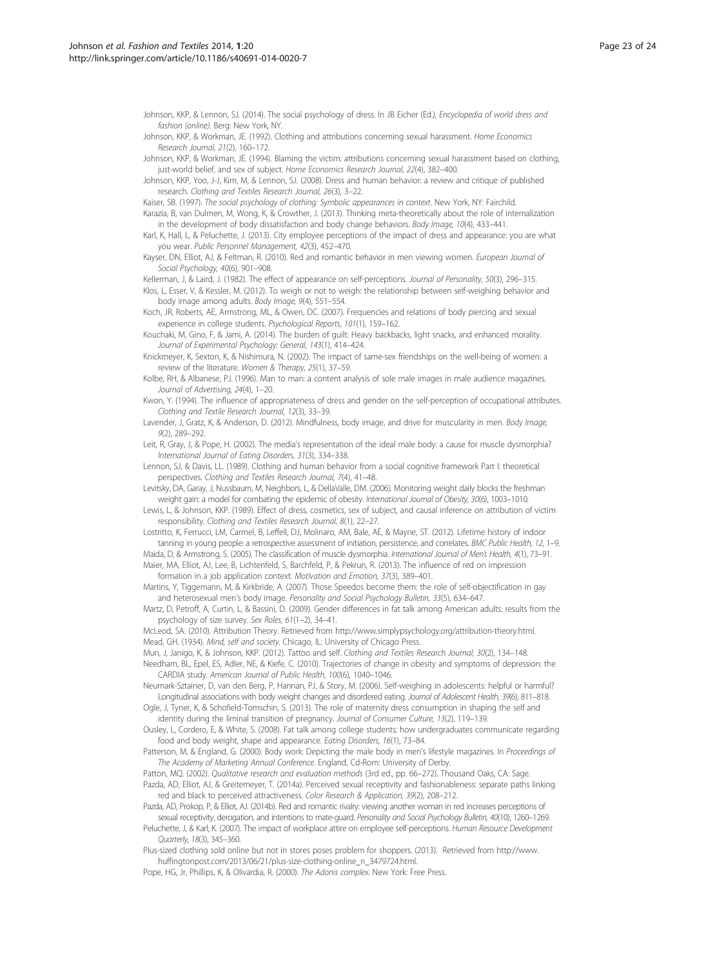<span id="page-22-0"></span>Johnson, KKP, & Lennon, SJ. (2014). The social psychology of dress. In JB Eicher (Ed.), Encyclopedia of world dress and fashion (online). Berg: New York, NY.

Johnson, KKP, & Workman, JE. (1992). Clothing and attributions concerning sexual harassment. Home Economics Research Journal, 21(2), 160–172.

Johnson, KKP, & Workman, JE. (1994). Blaming the victim: attributions concerning sexual harassment based on clothing, just-world belief, and sex of subject. Home Economics Research Journal, 22(4), 382–400.

Johnson, KKP, Yoo, J-J, Kim, M, & Lennon, SJ. (2008). Dress and human behavior: a review and critique of published research. Clothing and Textiles Research Journal, 26(3), 3–22.

#### Kaiser, SB. (1997). The social psychology of clothing: Symbolic appearances in context. New York, NY: Fairchild. Karazia, B, van Dulmen, M, Wong, K, & Crowther, J. (2013). Thinking meta-theoretically about the role of internalization

in the development of body dissatisfaction and body change behaviors. Body Image, 10(4), 433–441. Karl, K, Hall, L, & Peluchette, J. (2013). City employee perceptions of the impact of dress and appearance: you are what you wear. Public Personnel Management, 42(3), 452–470.

Kayser, DN, Elliot, AJ, & Feltman, R. (2010). Red and romantic behavior in men viewing women. European Journal of Social Psychology, 40(6), 901–908.

Kellerman, J, & Laird, J. (1982). The effect of appearance on self-perceptions. Journal of Personality, 50(3), 296-315.

Klos, L, Esser, V, & Kessler, M. (2012). To weigh or not to weigh: the relationship between self-weighing behavior and body image among adults. Body Image, 9(4), 551–554.

Koch, JR, Roberts, AE, Armstrong, ML, & Owen, DC. (2007). Frequencies and relations of body piercing and sexual experience in college students. Psychological Reports, 101(1), 159–162.

Kouchaki, M, Gino, F, & Jami, A. (2014). The burden of guilt: Heavy backbacks, light snacks, and enhanced morality. Journal of Experimental Psychology: General, 143(1), 414–424.

Knickmeyer, K, Sexton, K, & Nishimura, N. (2002). The impact of same-sex friendships on the well-being of women: a review of the literature. Women & Therapy, 25(1), 37–59.

Kolbe, RH, & Albanese, PJ. (1996). Man to man: a content analysis of sole male images in male audience magazines. Journal of Advertising, 24(4), 1–20.

Kwon, Y. (1994). The influence of appropriateness of dress and gender on the self-perception of occupational attributes. Clothing and Textile Research Journal, 12(3), 33–39.

Lavender, J, Gratz, K, & Anderson, D. (2012). Mindfulness, body image, and drive for muscularity in men. Body Image, 9(2), 289–292.

Leit, R, Gray, J, & Pope, H. (2002). The media's representation of the ideal male body: a cause for muscle dysmorphia? International Journal of Eating Disorders, 31(3), 334–338.

Lennon, SJ, & Davis, LL. (1989). Clothing and human behavior from a social cognitive framework Part I: theoretical perspectives. Clothing and Textiles Research Journal, 7(4), 41–48.

Levitsky, DA, Garay, J, Nussbaum, M, Neighbors, L, & DellaValle, DM. (2006). Monitoring weight daily blocks the freshman weight gain: a model for combating the epidemic of obesity. International Journal of Obesity, 30(6), 1003–1010.

Lewis, L, & Johnson, KKP. (1989). Effect of dress, cosmetics, sex of subject, and causal inference on attribution of victim responsibility. Clothing and Textiles Research Journal, 8(1), 22–27.

Lostritto, K, Ferrucci, LM, Carmel, B, Leffell, DJ, Molinaro, AM, Bale, AE, & Mayne, ST. (2012). Lifetime history of indoor tanning in young people: a retrospective assessment of initiation, persistence, and correlates. BMC Public Health, 12, 1–9.

Maida, D, & Armstrong, S. (2005). The classification of muscle dysmorphia. International Journal of Men's Health, 4(1), 73–91. Maier, MA, Elliot, AJ, Lee, B, Lichtenfeld, S, Barchfeld, P, & Pekrun, R. (2013). The influence of red on impression formation in a job application context. Motivation and Emotion, 37(3), 389–401.

Martins, Y, Tiggemann, M, & Kirkbride, A. (2007). Those Speedos become them: the role of self-objectification in gay and heterosexual men's body image. Personality and Social Psychology Bulletin, 33(5), 634–647.

Martz, D, Petroff, A, Curtin, L, & Bassini, D. (2009). Gender differences in fat talk among American adults: results from the psychology of size survey. Sex Roles, 61(1–2), 34–41.

McLeod, SA. (2010). Attribution Theory. Retrieved from [http://www.simplypsychology.org/attribution-theory.html.](http://www.simplypsychology.org/attribution-theory.html) Mead, GH. (1934). Mind, self and society. Chicago, IL: University of Chicago Press.

Mun, J, Janigo, K, & Johnson, KKP. (2012). Tattoo and self. Clothing and Textiles Research Journal, 30(2), 134–148.

Needham, BL, Epel, ES, Adler, NE, & Kiefe, C. (2010). Trajectories of change in obesity and symptoms of depression: the CARDIA study. American Journal of Public Health, 100(6), 1040–1046.

Neumark-Sztainer, D, van den Berg, P, Hannan, PJ, & Story, M. (2006). Self-weighing in adolescents: helpful or harmful? Longitudinal associations with body weight changes and disordered eating. Journal of Adolescent Health, 39(6), 811–818.

Ogle, J, Tyner, K, & Schofield-Tomschin, S. (2013). The role of maternity dress consumption in shaping the self and identity during the liminal transition of pregnancy. Journal of Consumer Culture, 13(2), 119–139.

Ousley, L, Cordero, E, & White, S. (2008). Fat talk among college students: how undergraduates communicate regarding food and body weight, shape and appearance. Eating Disorders, 16(1), 73–84.

Patterson, M, & England, G. (2000). Body work: Depicting the male body in men's lifestyle magazines. In Proceedings of The Academy of Marketing Annual Conference. England, Cd-Rom: University of Derby.

Patton, MQ. (2002). Qualitative research and evaluation methods (3rd ed., pp. 66–272). Thousand Oaks, CA: Sage. Pazda, AD, Elliot, AJ, & Greitemeyer, T. (2014a). Perceived sexual receptivity and fashionableness: separate paths linking

red and black to perceived attractiveness. Color Research & Application, 39(2), 208–212.

Pazda, AD, Prokop, P, & Elliot, AJ. (2014b). Red and romantic rivalry: viewing another woman in red increases perceptions of sexual receptivity, derogation, and intentions to mate-guard. Personality and Social Psychology Bulletin, 40(10), 1260–1269.

Peluchette, J, & Karl, K. (2007). The impact of workplace attire on employee self-perceptions. Human Resource Development Quarterly, 18(3), 345–360.

Plus-sized clothing sold online but not in stores poses problem for shoppers. (2013). Retrieved from [http://www.](http://www.huffingtonpost.com/2013/06/21/plus-size-clothing-online_n_3479724.html) [huffingtonpost.com/2013/06/21/plus-size-clothing-online\\_n\\_3479724.html.](http://www.huffingtonpost.com/2013/06/21/plus-size-clothing-online_n_3479724.html)

Pope, HG, Jr, Phillips, K, & Olivardia, R. (2000). The Adonis complex. New York: Free Press.